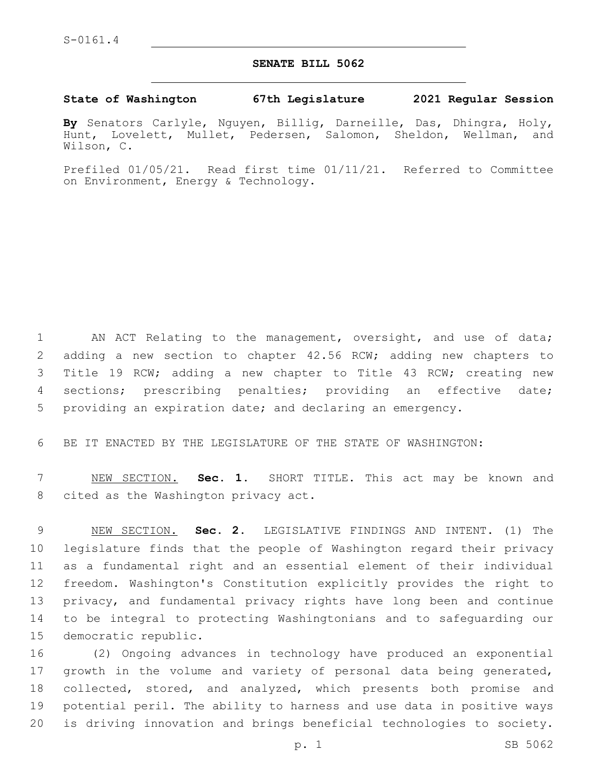#### **SENATE BILL 5062**

#### **State of Washington 67th Legislature 2021 Regular Session**

**By** Senators Carlyle, Nguyen, Billig, Darneille, Das, Dhingra, Holy, Hunt, Lovelett, Mullet, Pedersen, Salomon, Sheldon, Wellman, and Wilson, C.

Prefiled 01/05/21. Read first time 01/11/21. Referred to Committee on Environment, Energy & Technology.

1 AN ACT Relating to the management, oversight, and use of data; adding a new section to chapter 42.56 RCW; adding new chapters to Title 19 RCW; adding a new chapter to Title 43 RCW; creating new sections; prescribing penalties; providing an effective date; providing an expiration date; and declaring an emergency.

BE IT ENACTED BY THE LEGISLATURE OF THE STATE OF WASHINGTON:

 NEW SECTION. **Sec. 1.** SHORT TITLE. This act may be known and cited as the Washington privacy act.

 NEW SECTION. **Sec. 2.** LEGISLATIVE FINDINGS AND INTENT. (1) The legislature finds that the people of Washington regard their privacy as a fundamental right and an essential element of their individual freedom. Washington's Constitution explicitly provides the right to privacy, and fundamental privacy rights have long been and continue to be integral to protecting Washingtonians and to safeguarding our democratic republic.

 (2) Ongoing advances in technology have produced an exponential growth in the volume and variety of personal data being generated, collected, stored, and analyzed, which presents both promise and potential peril. The ability to harness and use data in positive ways is driving innovation and brings beneficial technologies to society.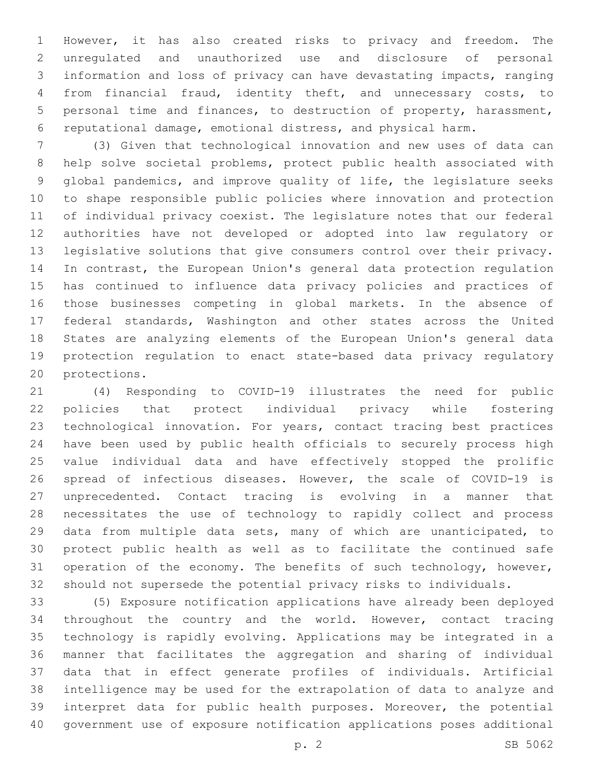However, it has also created risks to privacy and freedom. The unregulated and unauthorized use and disclosure of personal information and loss of privacy can have devastating impacts, ranging from financial fraud, identity theft, and unnecessary costs, to personal time and finances, to destruction of property, harassment, reputational damage, emotional distress, and physical harm.

 (3) Given that technological innovation and new uses of data can help solve societal problems, protect public health associated with global pandemics, and improve quality of life, the legislature seeks to shape responsible public policies where innovation and protection of individual privacy coexist. The legislature notes that our federal authorities have not developed or adopted into law regulatory or legislative solutions that give consumers control over their privacy. In contrast, the European Union's general data protection regulation has continued to influence data privacy policies and practices of those businesses competing in global markets. In the absence of federal standards, Washington and other states across the United States are analyzing elements of the European Union's general data protection regulation to enact state-based data privacy regulatory 20 protections.

 (4) Responding to COVID-19 illustrates the need for public policies that protect individual privacy while fostering technological innovation. For years, contact tracing best practices have been used by public health officials to securely process high value individual data and have effectively stopped the prolific spread of infectious diseases. However, the scale of COVID-19 is unprecedented. Contact tracing is evolving in a manner that necessitates the use of technology to rapidly collect and process data from multiple data sets, many of which are unanticipated, to protect public health as well as to facilitate the continued safe 31 operation of the economy. The benefits of such technology, however, should not supersede the potential privacy risks to individuals.

 (5) Exposure notification applications have already been deployed throughout the country and the world. However, contact tracing technology is rapidly evolving. Applications may be integrated in a manner that facilitates the aggregation and sharing of individual data that in effect generate profiles of individuals. Artificial intelligence may be used for the extrapolation of data to analyze and interpret data for public health purposes. Moreover, the potential government use of exposure notification applications poses additional

p. 2 SB 5062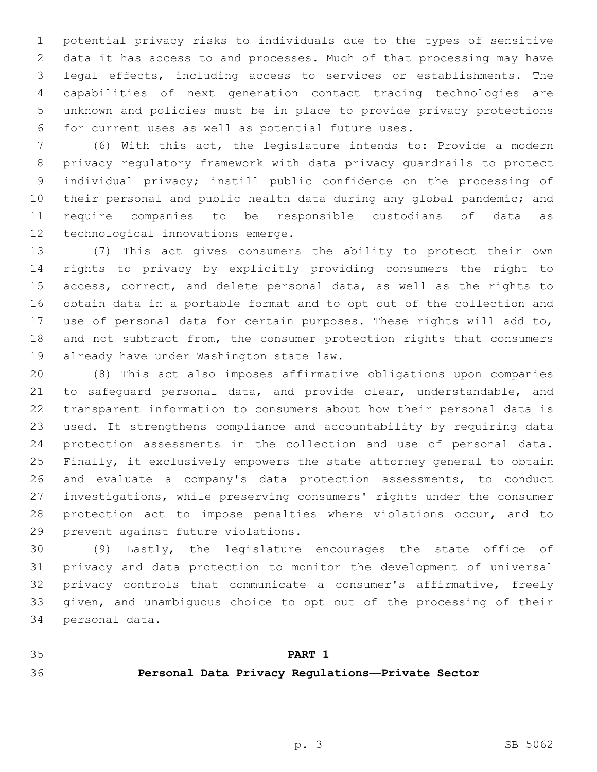potential privacy risks to individuals due to the types of sensitive data it has access to and processes. Much of that processing may have legal effects, including access to services or establishments. The capabilities of next generation contact tracing technologies are unknown and policies must be in place to provide privacy protections for current uses as well as potential future uses.6

 (6) With this act, the legislature intends to: Provide a modern privacy regulatory framework with data privacy guardrails to protect individual privacy; instill public confidence on the processing of their personal and public health data during any global pandemic; and require companies to be responsible custodians of data as 12 technological innovations emerge.

 (7) This act gives consumers the ability to protect their own rights to privacy by explicitly providing consumers the right to access, correct, and delete personal data, as well as the rights to obtain data in a portable format and to opt out of the collection and use of personal data for certain purposes. These rights will add to, 18 and not subtract from, the consumer protection rights that consumers 19 already have under Washington state law.

 (8) This act also imposes affirmative obligations upon companies to safeguard personal data, and provide clear, understandable, and transparent information to consumers about how their personal data is used. It strengthens compliance and accountability by requiring data protection assessments in the collection and use of personal data. Finally, it exclusively empowers the state attorney general to obtain and evaluate a company's data protection assessments, to conduct investigations, while preserving consumers' rights under the consumer protection act to impose penalties where violations occur, and to 29 prevent against future violations.

 (9) Lastly, the legislature encourages the state office of privacy and data protection to monitor the development of universal privacy controls that communicate a consumer's affirmative, freely given, and unambiguous choice to opt out of the processing of their 34 personal data.

**PART 1**

# **Personal Data Privacy Regulations—Private Sector**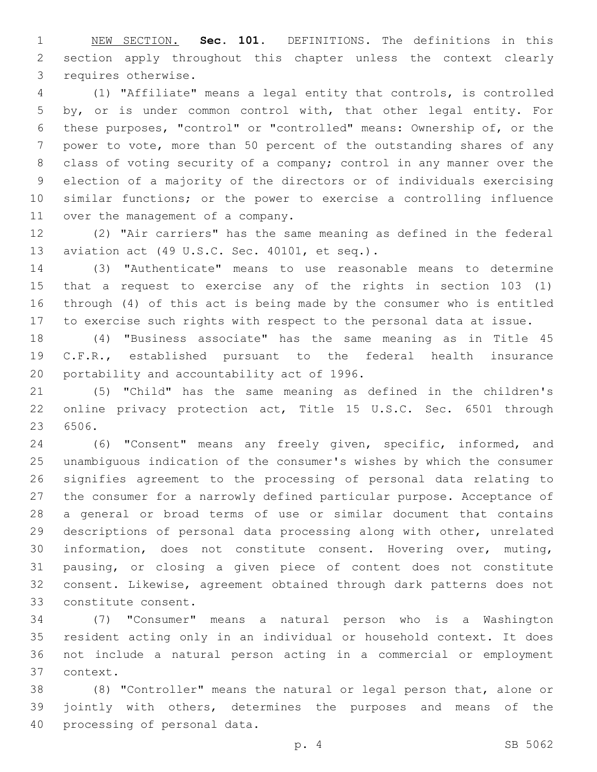NEW SECTION. **Sec. 101.** DEFINITIONS. The definitions in this section apply throughout this chapter unless the context clearly requires otherwise.

 (1) "Affiliate" means a legal entity that controls, is controlled by, or is under common control with, that other legal entity. For these purposes, "control" or "controlled" means: Ownership of, or the power to vote, more than 50 percent of the outstanding shares of any class of voting security of a company; control in any manner over the election of a majority of the directors or of individuals exercising similar functions; or the power to exercise a controlling influence 11 over the management of a company.

 (2) "Air carriers" has the same meaning as defined in the federal 13 aviation act (49 U.S.C. Sec. 40101, et seq.).

 (3) "Authenticate" means to use reasonable means to determine that a request to exercise any of the rights in section 103 (1) through (4) of this act is being made by the consumer who is entitled to exercise such rights with respect to the personal data at issue.

 (4) "Business associate" has the same meaning as in Title 45 C.F.R., established pursuant to the federal health insurance 20 portability and accountability act of 1996.

 (5) "Child" has the same meaning as defined in the children's online privacy protection act, Title 15 U.S.C. Sec. 6501 through 23 6506.

 (6) "Consent" means any freely given, specific, informed, and unambiguous indication of the consumer's wishes by which the consumer signifies agreement to the processing of personal data relating to the consumer for a narrowly defined particular purpose. Acceptance of a general or broad terms of use or similar document that contains descriptions of personal data processing along with other, unrelated information, does not constitute consent. Hovering over, muting, pausing, or closing a given piece of content does not constitute consent. Likewise, agreement obtained through dark patterns does not 33 constitute consent.

 (7) "Consumer" means a natural person who is a Washington resident acting only in an individual or household context. It does not include a natural person acting in a commercial or employment context.37

 (8) "Controller" means the natural or legal person that, alone or jointly with others, determines the purposes and means of the 40 processing of personal data.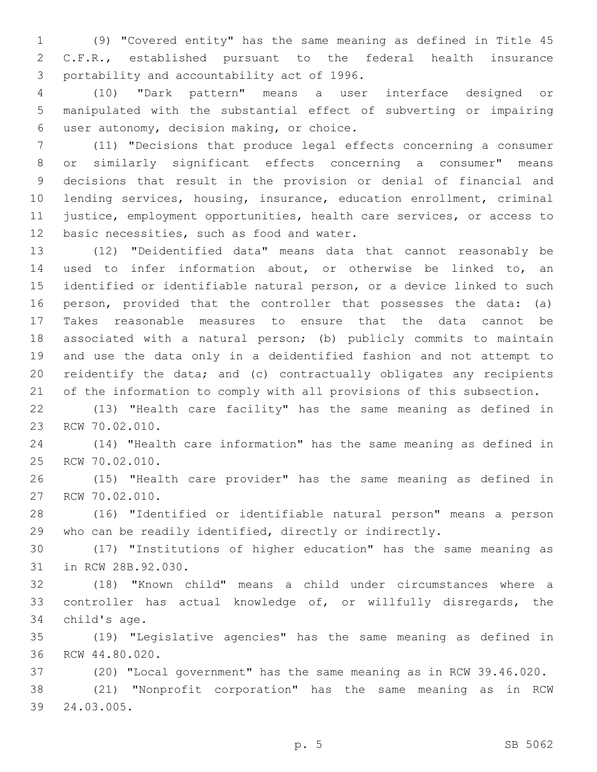(9) "Covered entity" has the same meaning as defined in Title 45 C.F.R., established pursuant to the federal health insurance 3 portability and accountability act of 1996.

 (10) "Dark pattern" means a user interface designed or manipulated with the substantial effect of subverting or impairing user autonomy, decision making, or choice.6

 (11) "Decisions that produce legal effects concerning a consumer or similarly significant effects concerning a consumer" means decisions that result in the provision or denial of financial and lending services, housing, insurance, education enrollment, criminal justice, employment opportunities, health care services, or access to 12 basic necessities, such as food and water.

 (12) "Deidentified data" means data that cannot reasonably be used to infer information about, or otherwise be linked to, an identified or identifiable natural person, or a device linked to such person, provided that the controller that possesses the data: (a) Takes reasonable measures to ensure that the data cannot be associated with a natural person; (b) publicly commits to maintain and use the data only in a deidentified fashion and not attempt to reidentify the data; and (c) contractually obligates any recipients of the information to comply with all provisions of this subsection.

 (13) "Health care facility" has the same meaning as defined in 23 RCW 70.02.010.

 (14) "Health care information" has the same meaning as defined in 25 RCW 70.02.010.

 (15) "Health care provider" has the same meaning as defined in 27 RCW 70.02.010.

 (16) "Identified or identifiable natural person" means a person who can be readily identified, directly or indirectly.

 (17) "Institutions of higher education" has the same meaning as 31 in RCW 28B.92.030.

 (18) "Known child" means a child under circumstances where a controller has actual knowledge of, or willfully disregards, the 34 child's age.

 (19) "Legislative agencies" has the same meaning as defined in 36 RCW 44.80.020.

(20) "Local government" has the same meaning as in RCW 39.46.020.

 (21) "Nonprofit corporation" has the same meaning as in RCW 24.03.005.39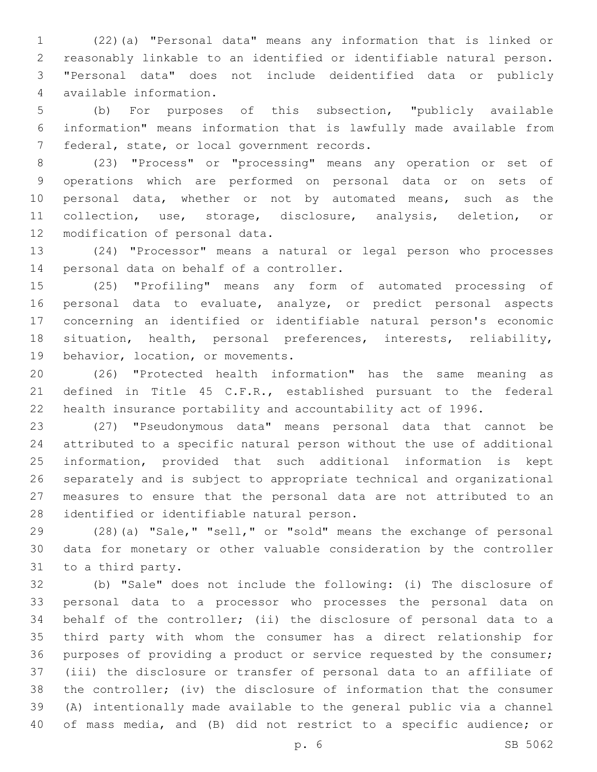(22)(a) "Personal data" means any information that is linked or reasonably linkable to an identified or identifiable natural person. "Personal data" does not include deidentified data or publicly available information.4

 (b) For purposes of this subsection, "publicly available information" means information that is lawfully made available from 7 federal, state, or local government records.

 (23) "Process" or "processing" means any operation or set of operations which are performed on personal data or on sets of personal data, whether or not by automated means, such as the collection, use, storage, disclosure, analysis, deletion, or 12 modification of personal data.

 (24) "Processor" means a natural or legal person who processes 14 personal data on behalf of a controller.

 (25) "Profiling" means any form of automated processing of personal data to evaluate, analyze, or predict personal aspects concerning an identified or identifiable natural person's economic situation, health, personal preferences, interests, reliability, 19 behavior, location, or movements.

 (26) "Protected health information" has the same meaning as defined in Title 45 C.F.R., established pursuant to the federal health insurance portability and accountability act of 1996.

 (27) "Pseudonymous data" means personal data that cannot be attributed to a specific natural person without the use of additional information, provided that such additional information is kept separately and is subject to appropriate technical and organizational measures to ensure that the personal data are not attributed to an 28 identified or identifiable natural person.

 (28)(a) "Sale," "sell," or "sold" means the exchange of personal data for monetary or other valuable consideration by the controller 31 to a third party.

 (b) "Sale" does not include the following: (i) The disclosure of personal data to a processor who processes the personal data on behalf of the controller; (ii) the disclosure of personal data to a third party with whom the consumer has a direct relationship for purposes of providing a product or service requested by the consumer; (iii) the disclosure or transfer of personal data to an affiliate of the controller; (iv) the disclosure of information that the consumer (A) intentionally made available to the general public via a channel of mass media, and (B) did not restrict to a specific audience; or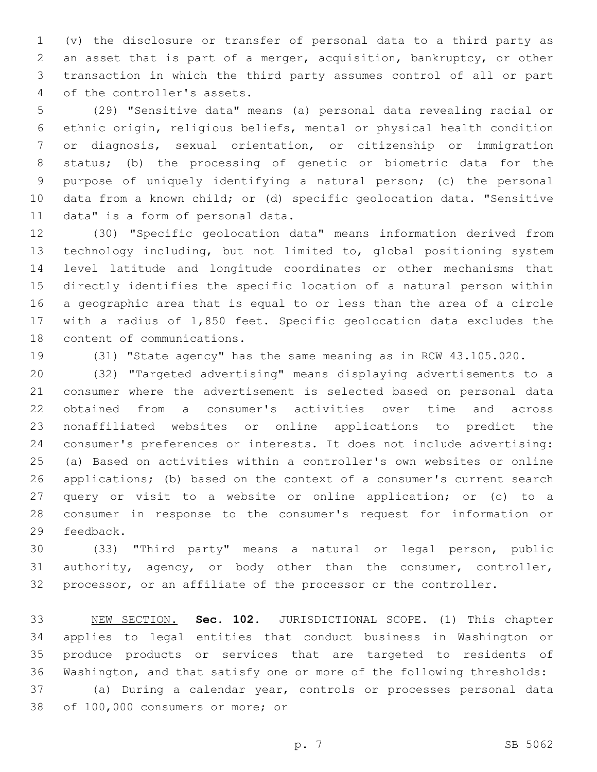(v) the disclosure or transfer of personal data to a third party as an asset that is part of a merger, acquisition, bankruptcy, or other transaction in which the third party assumes control of all or part 4 of the controller's assets.

 (29) "Sensitive data" means (a) personal data revealing racial or ethnic origin, religious beliefs, mental or physical health condition or diagnosis, sexual orientation, or citizenship or immigration status; (b) the processing of genetic or biometric data for the purpose of uniquely identifying a natural person; (c) the personal data from a known child; or (d) specific geolocation data. "Sensitive 11 data" is a form of personal data.

 (30) "Specific geolocation data" means information derived from technology including, but not limited to, global positioning system level latitude and longitude coordinates or other mechanisms that directly identifies the specific location of a natural person within a geographic area that is equal to or less than the area of a circle with a radius of 1,850 feet. Specific geolocation data excludes the 18 content of communications.

(31) "State agency" has the same meaning as in RCW 43.105.020.

 (32) "Targeted advertising" means displaying advertisements to a consumer where the advertisement is selected based on personal data obtained from a consumer's activities over time and across nonaffiliated websites or online applications to predict the consumer's preferences or interests. It does not include advertising: (a) Based on activities within a controller's own websites or online applications; (b) based on the context of a consumer's current search query or visit to a website or online application; or (c) to a consumer in response to the consumer's request for information or 29 feedback.

 (33) "Third party" means a natural or legal person, public authority, agency, or body other than the consumer, controller, processor, or an affiliate of the processor or the controller.

 NEW SECTION. **Sec. 102.** JURISDICTIONAL SCOPE. (1) This chapter applies to legal entities that conduct business in Washington or produce products or services that are targeted to residents of Washington, and that satisfy one or more of the following thresholds: (a) During a calendar year, controls or processes personal data

38 of 100,000 consumers or more; or

p. 7 SB 5062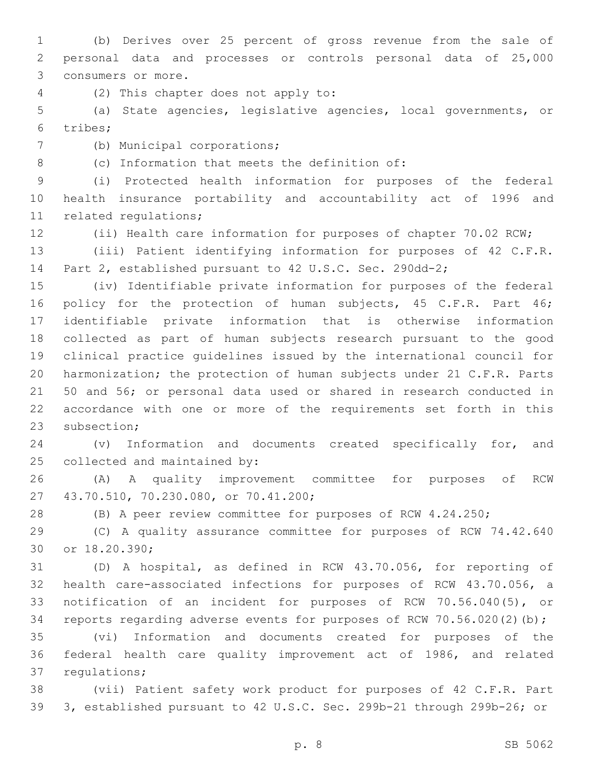(b) Derives over 25 percent of gross revenue from the sale of personal data and processes or controls personal data of 25,000 3 consumers or more.

(2) This chapter does not apply to:4

 (a) State agencies, legislative agencies, local governments, or tribes;6

7 (b) Municipal corporations;

8 (c) Information that meets the definition of:

 (i) Protected health information for purposes of the federal health insurance portability and accountability act of 1996 and 11 related regulations;

(ii) Health care information for purposes of chapter 70.02 RCW;

 (iii) Patient identifying information for purposes of 42 C.F.R. Part 2, established pursuant to 42 U.S.C. Sec. 290dd-2;

 (iv) Identifiable private information for purposes of the federal 16 policy for the protection of human subjects, 45 C.F.R. Part 46; identifiable private information that is otherwise information collected as part of human subjects research pursuant to the good clinical practice guidelines issued by the international council for harmonization; the protection of human subjects under 21 C.F.R. Parts 50 and 56; or personal data used or shared in research conducted in accordance with one or more of the requirements set forth in this 23 subsection;

 (v) Information and documents created specifically for, and 25 collected and maintained by:

 (A) A quality improvement committee for purposes of RCW 43.70.510, 70.230.080, or 70.41.200;27

(B) A peer review committee for purposes of RCW 4.24.250;

 (C) A quality assurance committee for purposes of RCW 74.42.640 30 or 18.20.390;

 (D) A hospital, as defined in RCW 43.70.056, for reporting of health care-associated infections for purposes of RCW 43.70.056, a notification of an incident for purposes of RCW 70.56.040(5), or reports regarding adverse events for purposes of RCW 70.56.020(2)(b);

 (vi) Information and documents created for purposes of the federal health care quality improvement act of 1986, and related 37 requlations;

 (vii) Patient safety work product for purposes of 42 C.F.R. Part 3, established pursuant to 42 U.S.C. Sec. 299b-21 through 299b-26; or

p. 8 SB 5062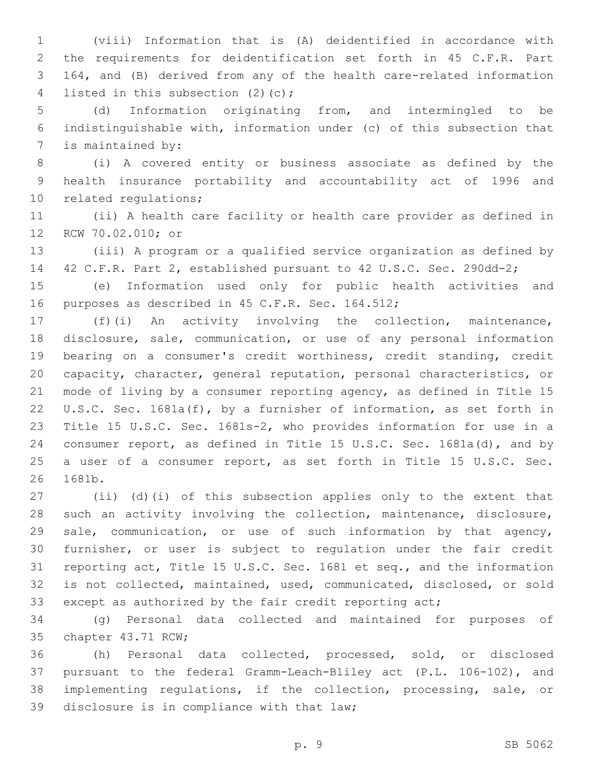(viii) Information that is (A) deidentified in accordance with the requirements for deidentification set forth in 45 C.F.R. Part 164, and (B) derived from any of the health care-related information 4 listed in this subsection (2)(c);

 (d) Information originating from, and intermingled to be indistinguishable with, information under (c) of this subsection that 7 is maintained by:

 (i) A covered entity or business associate as defined by the health insurance portability and accountability act of 1996 and 10 related regulations;

 (ii) A health care facility or health care provider as defined in 12 RCW 70.02.010; or

 (iii) A program or a qualified service organization as defined by 42 C.F.R. Part 2, established pursuant to 42 U.S.C. Sec. 290dd-2;

 (e) Information used only for public health activities and 16 purposes as described in 45 C.F.R. Sec. 164.512;

 (f)(i) An activity involving the collection, maintenance, disclosure, sale, communication, or use of any personal information bearing on a consumer's credit worthiness, credit standing, credit capacity, character, general reputation, personal characteristics, or mode of living by a consumer reporting agency, as defined in Title 15 U.S.C. Sec. 1681a(f), by a furnisher of information, as set forth in Title 15 U.S.C. Sec. 1681s-2, who provides information for use in a consumer report, as defined in Title 15 U.S.C. Sec. 1681a(d), and by a user of a consumer report, as set forth in Title 15 U.S.C. Sec. 26 1681b.

 (ii) (d)(i) of this subsection applies only to the extent that such an activity involving the collection, maintenance, disclosure, sale, communication, or use of such information by that agency, furnisher, or user is subject to regulation under the fair credit reporting act, Title 15 U.S.C. Sec. 1681 et seq., and the information is not collected, maintained, used, communicated, disclosed, or sold except as authorized by the fair credit reporting act;

 (g) Personal data collected and maintained for purposes of 35 chapter 43.71 RCW;

 (h) Personal data collected, processed, sold, or disclosed pursuant to the federal Gramm-Leach-Bliley act (P.L. 106-102), and implementing regulations, if the collection, processing, sale, or 39 disclosure is in compliance with that law;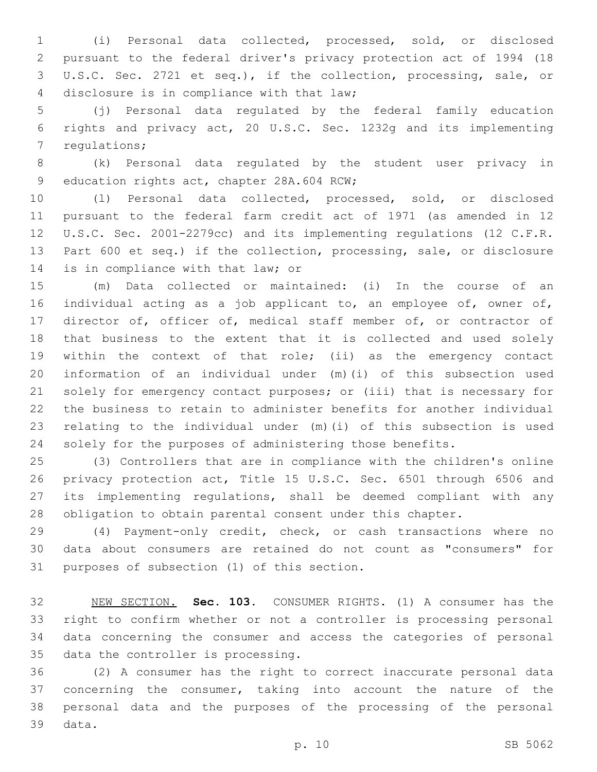(i) Personal data collected, processed, sold, or disclosed pursuant to the federal driver's privacy protection act of 1994 (18 U.S.C. Sec. 2721 et seq.), if the collection, processing, sale, or 4 disclosure is in compliance with that law;

 (j) Personal data regulated by the federal family education rights and privacy act, 20 U.S.C. Sec. 1232g and its implementing 7 requlations;

 (k) Personal data regulated by the student user privacy in 9 education rights act, chapter 28A.604 RCW;

 (l) Personal data collected, processed, sold, or disclosed pursuant to the federal farm credit act of 1971 (as amended in 12 U.S.C. Sec. 2001-2279cc) and its implementing regulations (12 C.F.R. Part 600 et seq.) if the collection, processing, sale, or disclosure 14 is in compliance with that law; or

 (m) Data collected or maintained: (i) In the course of an individual acting as a job applicant to, an employee of, owner of, 17 director of, officer of, medical staff member of, or contractor of that business to the extent that it is collected and used solely within the context of that role; (ii) as the emergency contact information of an individual under (m)(i) of this subsection used solely for emergency contact purposes; or (iii) that is necessary for the business to retain to administer benefits for another individual relating to the individual under (m)(i) of this subsection is used solely for the purposes of administering those benefits.

 (3) Controllers that are in compliance with the children's online privacy protection act, Title 15 U.S.C. Sec. 6501 through 6506 and its implementing regulations, shall be deemed compliant with any obligation to obtain parental consent under this chapter.

 (4) Payment-only credit, check, or cash transactions where no data about consumers are retained do not count as "consumers" for 31 purposes of subsection (1) of this section.

 NEW SECTION. **Sec. 103.** CONSUMER RIGHTS. (1) A consumer has the right to confirm whether or not a controller is processing personal data concerning the consumer and access the categories of personal data the controller is processing.

 (2) A consumer has the right to correct inaccurate personal data concerning the consumer, taking into account the nature of the personal data and the purposes of the processing of the personal 39 data.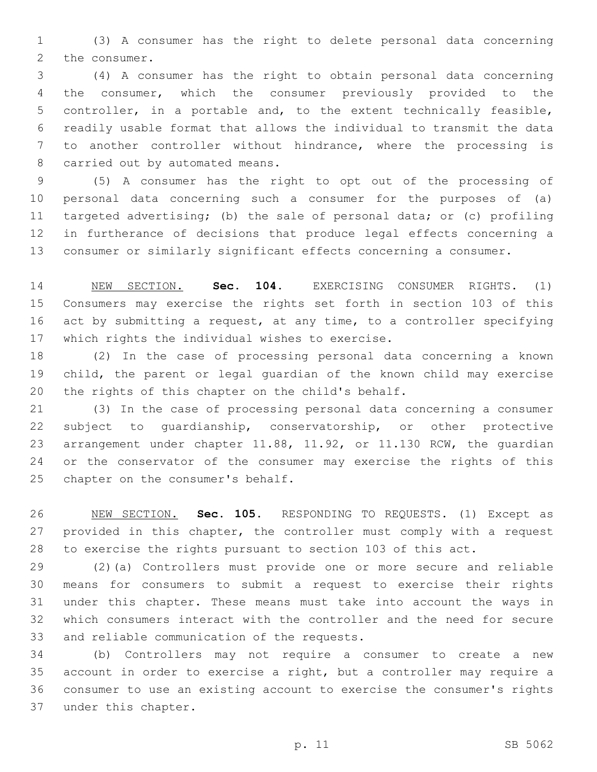(3) A consumer has the right to delete personal data concerning 2 the consumer.

 (4) A consumer has the right to obtain personal data concerning the consumer, which the consumer previously provided to the controller, in a portable and, to the extent technically feasible, readily usable format that allows the individual to transmit the data to another controller without hindrance, where the processing is 8 carried out by automated means.

 (5) A consumer has the right to opt out of the processing of personal data concerning such a consumer for the purposes of (a) targeted advertising; (b) the sale of personal data; or (c) profiling in furtherance of decisions that produce legal effects concerning a consumer or similarly significant effects concerning a consumer.

 NEW SECTION. **Sec. 104.** EXERCISING CONSUMER RIGHTS. (1) Consumers may exercise the rights set forth in section 103 of this act by submitting a request, at any time, to a controller specifying which rights the individual wishes to exercise.

 (2) In the case of processing personal data concerning a known child, the parent or legal guardian of the known child may exercise 20 the rights of this chapter on the child's behalf.

 (3) In the case of processing personal data concerning a consumer subject to guardianship, conservatorship, or other protective arrangement under chapter 11.88, 11.92, or 11.130 RCW, the guardian or the conservator of the consumer may exercise the rights of this 25 chapter on the consumer's behalf.

 NEW SECTION. **Sec. 105.** RESPONDING TO REQUESTS. (1) Except as provided in this chapter, the controller must comply with a request to exercise the rights pursuant to section 103 of this act.

 (2)(a) Controllers must provide one or more secure and reliable means for consumers to submit a request to exercise their rights under this chapter. These means must take into account the ways in which consumers interact with the controller and the need for secure 33 and reliable communication of the requests.

 (b) Controllers may not require a consumer to create a new account in order to exercise a right, but a controller may require a consumer to use an existing account to exercise the consumer's rights 37 under this chapter.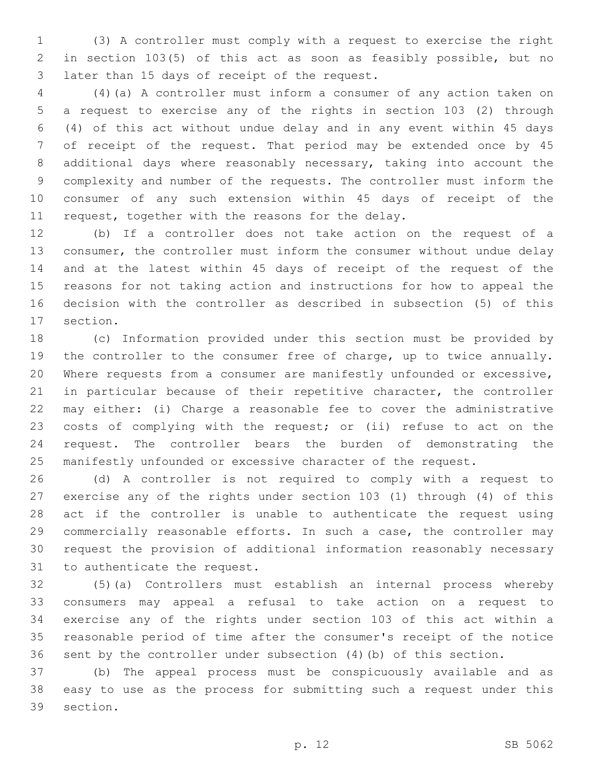(3) A controller must comply with a request to exercise the right in section 103(5) of this act as soon as feasibly possible, but no 3 later than 15 days of receipt of the request.

 (4)(a) A controller must inform a consumer of any action taken on a request to exercise any of the rights in section 103 (2) through (4) of this act without undue delay and in any event within 45 days of receipt of the request. That period may be extended once by 45 additional days where reasonably necessary, taking into account the complexity and number of the requests. The controller must inform the consumer of any such extension within 45 days of receipt of the 11 request, together with the reasons for the delay.

 (b) If a controller does not take action on the request of a consumer, the controller must inform the consumer without undue delay and at the latest within 45 days of receipt of the request of the reasons for not taking action and instructions for how to appeal the decision with the controller as described in subsection (5) of this 17 section.

 (c) Information provided under this section must be provided by the controller to the consumer free of charge, up to twice annually. Where requests from a consumer are manifestly unfounded or excessive, in particular because of their repetitive character, the controller may either: (i) Charge a reasonable fee to cover the administrative costs of complying with the request; or (ii) refuse to act on the request. The controller bears the burden of demonstrating the manifestly unfounded or excessive character of the request.

 (d) A controller is not required to comply with a request to exercise any of the rights under section 103 (1) through (4) of this act if the controller is unable to authenticate the request using commercially reasonable efforts. In such a case, the controller may request the provision of additional information reasonably necessary 31 to authenticate the request.

 (5)(a) Controllers must establish an internal process whereby consumers may appeal a refusal to take action on a request to exercise any of the rights under section 103 of this act within a reasonable period of time after the consumer's receipt of the notice sent by the controller under subsection (4)(b) of this section.

 (b) The appeal process must be conspicuously available and as easy to use as the process for submitting such a request under this 39 section.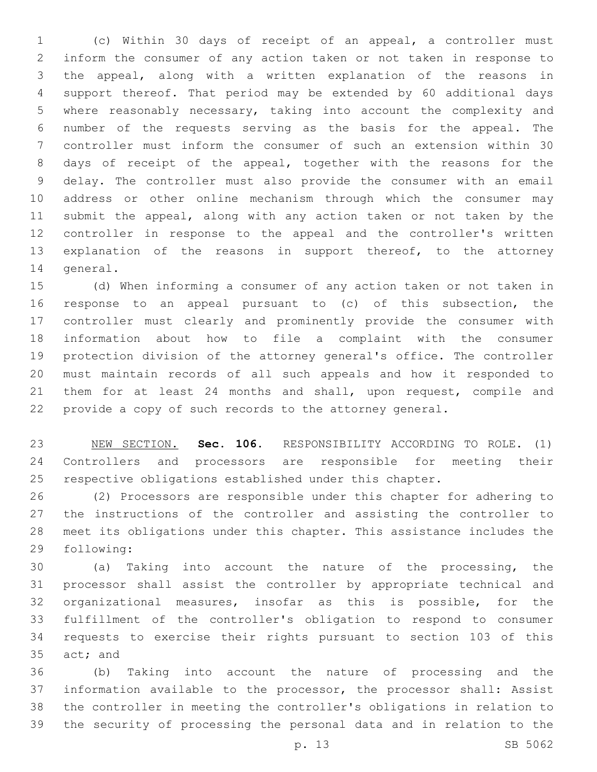(c) Within 30 days of receipt of an appeal, a controller must inform the consumer of any action taken or not taken in response to the appeal, along with a written explanation of the reasons in support thereof. That period may be extended by 60 additional days where reasonably necessary, taking into account the complexity and number of the requests serving as the basis for the appeal. The controller must inform the consumer of such an extension within 30 days of receipt of the appeal, together with the reasons for the delay. The controller must also provide the consumer with an email address or other online mechanism through which the consumer may submit the appeal, along with any action taken or not taken by the controller in response to the appeal and the controller's written explanation of the reasons in support thereof, to the attorney 14 general.

 (d) When informing a consumer of any action taken or not taken in response to an appeal pursuant to (c) of this subsection, the controller must clearly and prominently provide the consumer with information about how to file a complaint with the consumer protection division of the attorney general's office. The controller must maintain records of all such appeals and how it responded to 21 them for at least 24 months and shall, upon request, compile and provide a copy of such records to the attorney general.

 NEW SECTION. **Sec. 106.** RESPONSIBILITY ACCORDING TO ROLE. (1) Controllers and processors are responsible for meeting their respective obligations established under this chapter.

 (2) Processors are responsible under this chapter for adhering to the instructions of the controller and assisting the controller to meet its obligations under this chapter. This assistance includes the 29 following:

 (a) Taking into account the nature of the processing, the processor shall assist the controller by appropriate technical and organizational measures, insofar as this is possible, for the fulfillment of the controller's obligation to respond to consumer requests to exercise their rights pursuant to section 103 of this 35 act; and

 (b) Taking into account the nature of processing and the information available to the processor, the processor shall: Assist the controller in meeting the controller's obligations in relation to the security of processing the personal data and in relation to the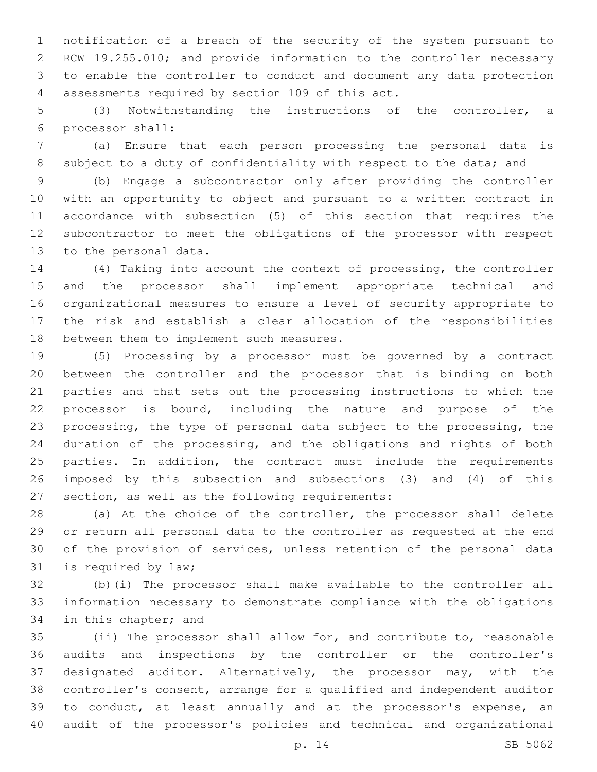notification of a breach of the security of the system pursuant to RCW 19.255.010; and provide information to the controller necessary to enable the controller to conduct and document any data protection assessments required by section 109 of this act.4

 (3) Notwithstanding the instructions of the controller, a processor shall:6

 (a) Ensure that each person processing the personal data is 8 subject to a duty of confidentiality with respect to the data; and

 (b) Engage a subcontractor only after providing the controller with an opportunity to object and pursuant to a written contract in accordance with subsection (5) of this section that requires the subcontractor to meet the obligations of the processor with respect 13 to the personal data.

 (4) Taking into account the context of processing, the controller and the processor shall implement appropriate technical and organizational measures to ensure a level of security appropriate to the risk and establish a clear allocation of the responsibilities 18 between them to implement such measures.

 (5) Processing by a processor must be governed by a contract between the controller and the processor that is binding on both parties and that sets out the processing instructions to which the processor is bound, including the nature and purpose of the processing, the type of personal data subject to the processing, the duration of the processing, and the obligations and rights of both parties. In addition, the contract must include the requirements imposed by this subsection and subsections (3) and (4) of this 27 section, as well as the following requirements:

 (a) At the choice of the controller, the processor shall delete or return all personal data to the controller as requested at the end of the provision of services, unless retention of the personal data 31 is required by law;

 (b)(i) The processor shall make available to the controller all information necessary to demonstrate compliance with the obligations 34 in this chapter; and

 (ii) The processor shall allow for, and contribute to, reasonable audits and inspections by the controller or the controller's designated auditor. Alternatively, the processor may, with the controller's consent, arrange for a qualified and independent auditor to conduct, at least annually and at the processor's expense, an audit of the processor's policies and technical and organizational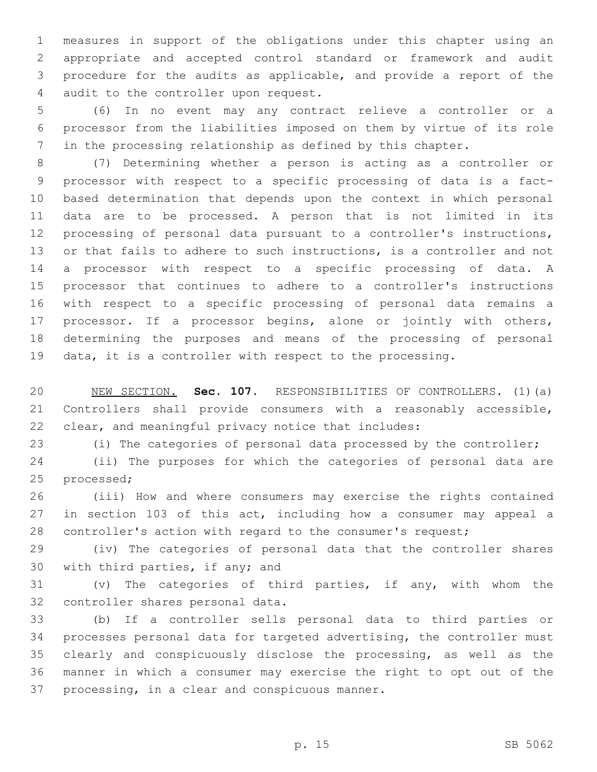measures in support of the obligations under this chapter using an appropriate and accepted control standard or framework and audit procedure for the audits as applicable, and provide a report of the 4 audit to the controller upon request.

 (6) In no event may any contract relieve a controller or a processor from the liabilities imposed on them by virtue of its role in the processing relationship as defined by this chapter.

 (7) Determining whether a person is acting as a controller or processor with respect to a specific processing of data is a fact- based determination that depends upon the context in which personal data are to be processed. A person that is not limited in its processing of personal data pursuant to a controller's instructions, or that fails to adhere to such instructions, is a controller and not a processor with respect to a specific processing of data. A processor that continues to adhere to a controller's instructions with respect to a specific processing of personal data remains a processor. If a processor begins, alone or jointly with others, determining the purposes and means of the processing of personal data, it is a controller with respect to the processing.

 NEW SECTION. **Sec. 107.** RESPONSIBILITIES OF CONTROLLERS. (1)(a) Controllers shall provide consumers with a reasonably accessible, clear, and meaningful privacy notice that includes:

(i) The categories of personal data processed by the controller;

 (ii) The purposes for which the categories of personal data are 25 processed;

 (iii) How and where consumers may exercise the rights contained in section 103 of this act, including how a consumer may appeal a controller's action with regard to the consumer's request;

 (iv) The categories of personal data that the controller shares 30 with third parties, if any; and

 (v) The categories of third parties, if any, with whom the 32 controller shares personal data.

 (b) If a controller sells personal data to third parties or processes personal data for targeted advertising, the controller must clearly and conspicuously disclose the processing, as well as the manner in which a consumer may exercise the right to opt out of the 37 processing, in a clear and conspicuous manner.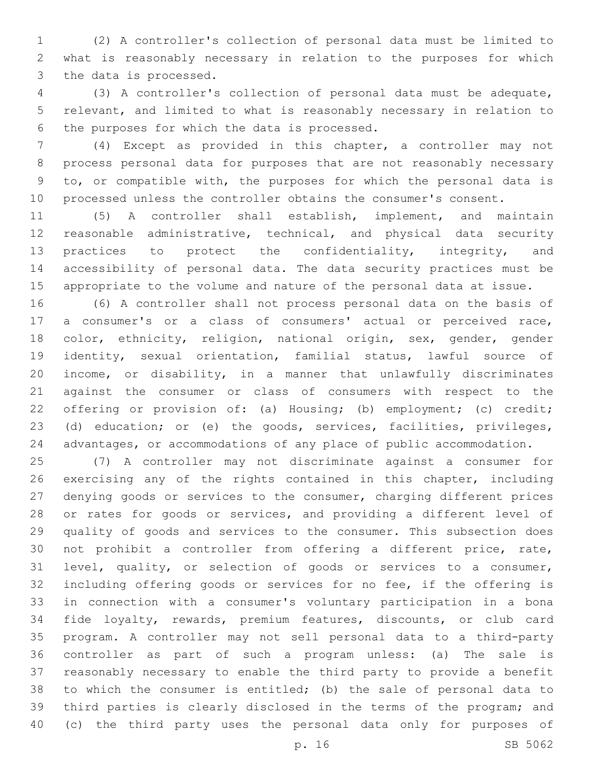(2) A controller's collection of personal data must be limited to what is reasonably necessary in relation to the purposes for which 3 the data is processed.

 (3) A controller's collection of personal data must be adequate, relevant, and limited to what is reasonably necessary in relation to 6 the purposes for which the data is processed.

 (4) Except as provided in this chapter, a controller may not process personal data for purposes that are not reasonably necessary to, or compatible with, the purposes for which the personal data is processed unless the controller obtains the consumer's consent.

 (5) A controller shall establish, implement, and maintain reasonable administrative, technical, and physical data security 13 practices to protect the confidentiality, integrity, and accessibility of personal data. The data security practices must be appropriate to the volume and nature of the personal data at issue.

 (6) A controller shall not process personal data on the basis of a consumer's or a class of consumers' actual or perceived race, 18 color, ethnicity, religion, national origin, sex, gender, gender identity, sexual orientation, familial status, lawful source of income, or disability, in a manner that unlawfully discriminates against the consumer or class of consumers with respect to the offering or provision of: (a) Housing; (b) employment; (c) credit; (d) education; or (e) the goods, services, facilities, privileges, advantages, or accommodations of any place of public accommodation.

 (7) A controller may not discriminate against a consumer for 26 exercising any of the rights contained in this chapter, including denying goods or services to the consumer, charging different prices 28 or rates for goods or services, and providing a different level of quality of goods and services to the consumer. This subsection does not prohibit a controller from offering a different price, rate, level, quality, or selection of goods or services to a consumer, including offering goods or services for no fee, if the offering is in connection with a consumer's voluntary participation in a bona fide loyalty, rewards, premium features, discounts, or club card program. A controller may not sell personal data to a third-party controller as part of such a program unless: (a) The sale is reasonably necessary to enable the third party to provide a benefit to which the consumer is entitled; (b) the sale of personal data to third parties is clearly disclosed in the terms of the program; and (c) the third party uses the personal data only for purposes of

p. 16 SB 5062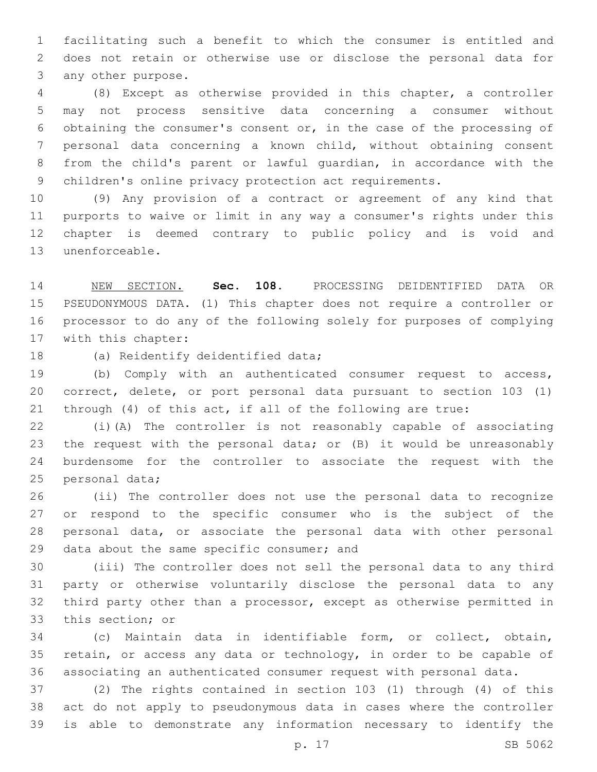facilitating such a benefit to which the consumer is entitled and does not retain or otherwise use or disclose the personal data for 3 any other purpose.

 (8) Except as otherwise provided in this chapter, a controller may not process sensitive data concerning a consumer without obtaining the consumer's consent or, in the case of the processing of personal data concerning a known child, without obtaining consent from the child's parent or lawful guardian, in accordance with the children's online privacy protection act requirements.

 (9) Any provision of a contract or agreement of any kind that purports to waive or limit in any way a consumer's rights under this chapter is deemed contrary to public policy and is void and 13 unenforceable.

 NEW SECTION. **Sec. 108.** PROCESSING DEIDENTIFIED DATA OR PSEUDONYMOUS DATA. (1) This chapter does not require a controller or processor to do any of the following solely for purposes of complying with this chapter:

18 (a) Reidentify deidentified data;

 (b) Comply with an authenticated consumer request to access, correct, delete, or port personal data pursuant to section 103 (1) through (4) of this act, if all of the following are true:

 (i)(A) The controller is not reasonably capable of associating the request with the personal data; or (B) it would be unreasonably burdensome for the controller to associate the request with the 25 personal data;

 (ii) The controller does not use the personal data to recognize or respond to the specific consumer who is the subject of the personal data, or associate the personal data with other personal 29 data about the same specific consumer; and

 (iii) The controller does not sell the personal data to any third party or otherwise voluntarily disclose the personal data to any third party other than a processor, except as otherwise permitted in 33 this section; or

 (c) Maintain data in identifiable form, or collect, obtain, retain, or access any data or technology, in order to be capable of associating an authenticated consumer request with personal data.

 (2) The rights contained in section 103 (1) through (4) of this act do not apply to pseudonymous data in cases where the controller is able to demonstrate any information necessary to identify the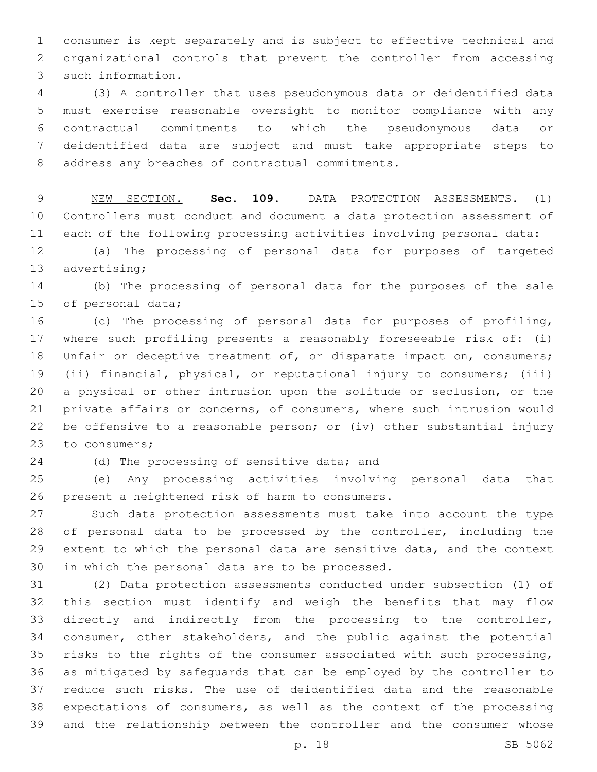consumer is kept separately and is subject to effective technical and organizational controls that prevent the controller from accessing 3 such information.

 (3) A controller that uses pseudonymous data or deidentified data must exercise reasonable oversight to monitor compliance with any contractual commitments to which the pseudonymous data or deidentified data are subject and must take appropriate steps to 8 address any breaches of contractual commitments.

 NEW SECTION. **Sec. 109.** DATA PROTECTION ASSESSMENTS. (1) Controllers must conduct and document a data protection assessment of each of the following processing activities involving personal data:

 (a) The processing of personal data for purposes of targeted 13 advertising;

 (b) The processing of personal data for the purposes of the sale 15 of personal data;

 (c) The processing of personal data for purposes of profiling, where such profiling presents a reasonably foreseeable risk of: (i) 18 Unfair or deceptive treatment of, or disparate impact on, consumers; (ii) financial, physical, or reputational injury to consumers; (iii) a physical or other intrusion upon the solitude or seclusion, or the private affairs or concerns, of consumers, where such intrusion would be offensive to a reasonable person; or (iv) other substantial injury 23 to consumers;

24 (d) The processing of sensitive data; and

 (e) Any processing activities involving personal data that 26 present a heightened risk of harm to consumers.

 Such data protection assessments must take into account the type of personal data to be processed by the controller, including the extent to which the personal data are sensitive data, and the context 30 in which the personal data are to be processed.

 (2) Data protection assessments conducted under subsection (1) of this section must identify and weigh the benefits that may flow directly and indirectly from the processing to the controller, consumer, other stakeholders, and the public against the potential risks to the rights of the consumer associated with such processing, as mitigated by safeguards that can be employed by the controller to reduce such risks. The use of deidentified data and the reasonable expectations of consumers, as well as the context of the processing and the relationship between the controller and the consumer whose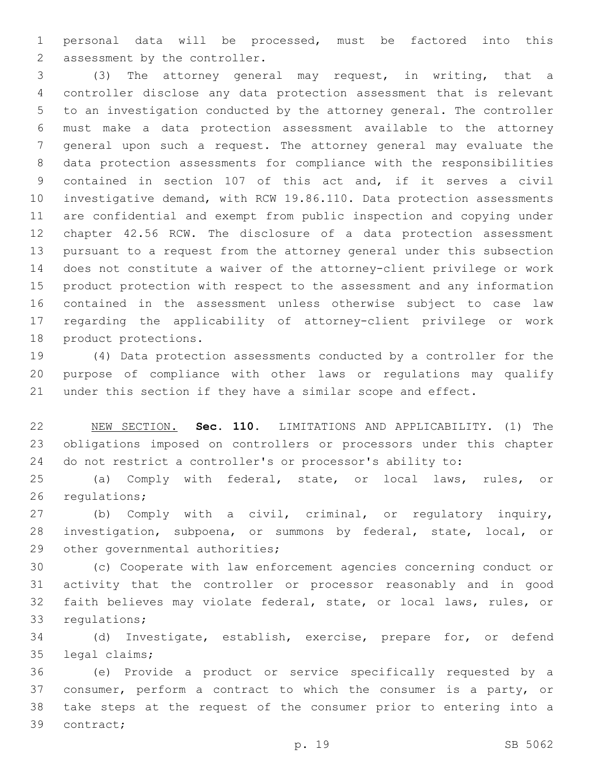personal data will be processed, must be factored into this 2 assessment by the controller.

 (3) The attorney general may request, in writing, that a controller disclose any data protection assessment that is relevant to an investigation conducted by the attorney general. The controller must make a data protection assessment available to the attorney general upon such a request. The attorney general may evaluate the data protection assessments for compliance with the responsibilities contained in section 107 of this act and, if it serves a civil investigative demand, with RCW 19.86.110. Data protection assessments are confidential and exempt from public inspection and copying under chapter 42.56 RCW. The disclosure of a data protection assessment pursuant to a request from the attorney general under this subsection does not constitute a waiver of the attorney-client privilege or work product protection with respect to the assessment and any information contained in the assessment unless otherwise subject to case law regarding the applicability of attorney-client privilege or work 18 product protections.

 (4) Data protection assessments conducted by a controller for the purpose of compliance with other laws or regulations may qualify under this section if they have a similar scope and effect.

 NEW SECTION. **Sec. 110.** LIMITATIONS AND APPLICABILITY. (1) The obligations imposed on controllers or processors under this chapter do not restrict a controller's or processor's ability to:

 (a) Comply with federal, state, or local laws, rules, or 26 regulations;

 (b) Comply with a civil, criminal, or regulatory inquiry, investigation, subpoena, or summons by federal, state, local, or 29 other governmental authorities;

 (c) Cooperate with law enforcement agencies concerning conduct or activity that the controller or processor reasonably and in good faith believes may violate federal, state, or local laws, rules, or 33 regulations;

 (d) Investigate, establish, exercise, prepare for, or defend 35 legal claims;

 (e) Provide a product or service specifically requested by a consumer, perform a contract to which the consumer is a party, or take steps at the request of the consumer prior to entering into a 39 contract;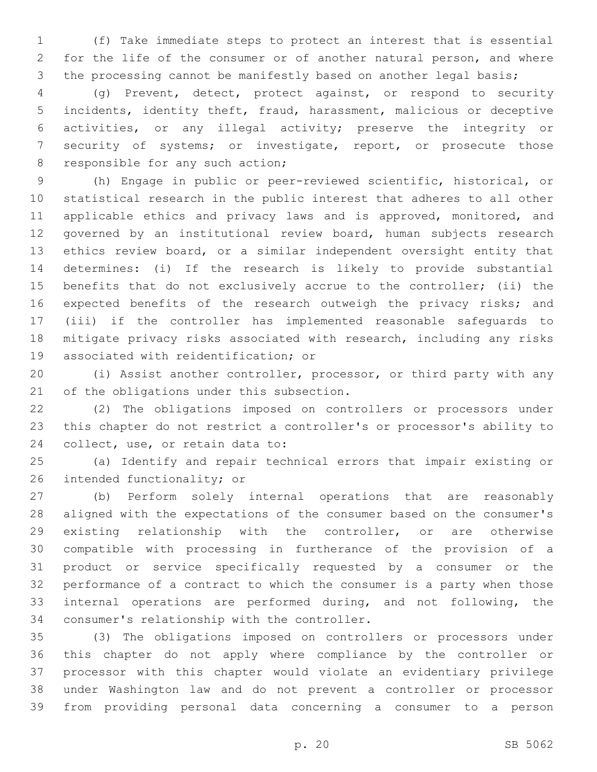(f) Take immediate steps to protect an interest that is essential for the life of the consumer or of another natural person, and where 3 the processing cannot be manifestly based on another legal basis;

 (g) Prevent, detect, protect against, or respond to security incidents, identity theft, fraud, harassment, malicious or deceptive activities, or any illegal activity; preserve the integrity or security of systems; or investigate, report, or prosecute those 8 responsible for any such action;

 (h) Engage in public or peer-reviewed scientific, historical, or statistical research in the public interest that adheres to all other 11 applicable ethics and privacy laws and is approved, monitored, and governed by an institutional review board, human subjects research ethics review board, or a similar independent oversight entity that determines: (i) If the research is likely to provide substantial benefits that do not exclusively accrue to the controller; (ii) the 16 expected benefits of the research outweigh the privacy risks; and (iii) if the controller has implemented reasonable safeguards to mitigate privacy risks associated with research, including any risks 19 associated with reidentification; or

 (i) Assist another controller, processor, or third party with any 21 of the obligations under this subsection.

 (2) The obligations imposed on controllers or processors under this chapter do not restrict a controller's or processor's ability to 24 collect, use, or retain data to:

 (a) Identify and repair technical errors that impair existing or 26 intended functionality; or

 (b) Perform solely internal operations that are reasonably aligned with the expectations of the consumer based on the consumer's existing relationship with the controller, or are otherwise compatible with processing in furtherance of the provision of a product or service specifically requested by a consumer or the performance of a contract to which the consumer is a party when those internal operations are performed during, and not following, the 34 consumer's relationship with the controller.

 (3) The obligations imposed on controllers or processors under this chapter do not apply where compliance by the controller or processor with this chapter would violate an evidentiary privilege under Washington law and do not prevent a controller or processor from providing personal data concerning a consumer to a person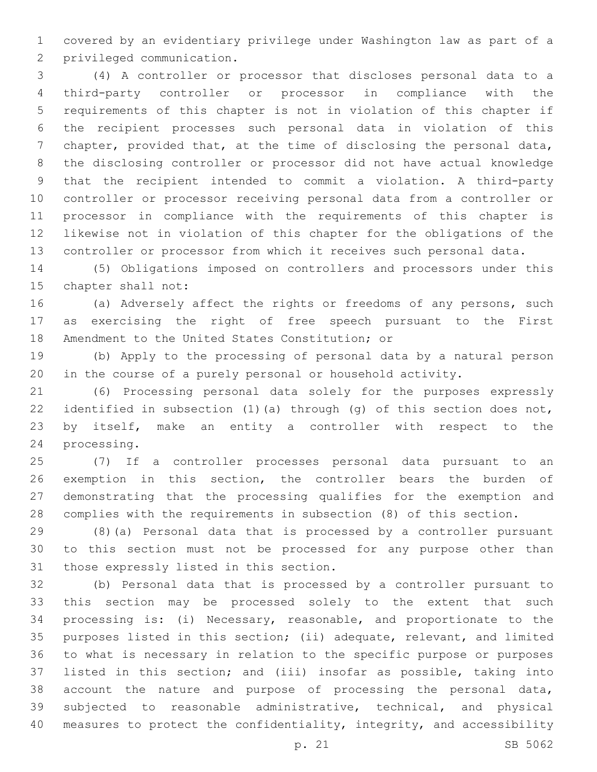covered by an evidentiary privilege under Washington law as part of a 2 privileged communication.

 (4) A controller or processor that discloses personal data to a third-party controller or processor in compliance with the requirements of this chapter is not in violation of this chapter if the recipient processes such personal data in violation of this chapter, provided that, at the time of disclosing the personal data, the disclosing controller or processor did not have actual knowledge that the recipient intended to commit a violation. A third-party controller or processor receiving personal data from a controller or processor in compliance with the requirements of this chapter is likewise not in violation of this chapter for the obligations of the controller or processor from which it receives such personal data.

 (5) Obligations imposed on controllers and processors under this 15 chapter shall not:

 (a) Adversely affect the rights or freedoms of any persons, such as exercising the right of free speech pursuant to the First 18 Amendment to the United States Constitution; or

 (b) Apply to the processing of personal data by a natural person in the course of a purely personal or household activity.

 (6) Processing personal data solely for the purposes expressly identified in subsection (1)(a) through (g) of this section does not, by itself, make an entity a controller with respect to the 24 processing.

 (7) If a controller processes personal data pursuant to an exemption in this section, the controller bears the burden of demonstrating that the processing qualifies for the exemption and complies with the requirements in subsection (8) of this section.

 (8)(a) Personal data that is processed by a controller pursuant to this section must not be processed for any purpose other than 31 those expressly listed in this section.

 (b) Personal data that is processed by a controller pursuant to this section may be processed solely to the extent that such processing is: (i) Necessary, reasonable, and proportionate to the purposes listed in this section; (ii) adequate, relevant, and limited to what is necessary in relation to the specific purpose or purposes listed in this section; and (iii) insofar as possible, taking into account the nature and purpose of processing the personal data, subjected to reasonable administrative, technical, and physical 40 measures to protect the confidentiality, integrity, and accessibility

p. 21 SB 5062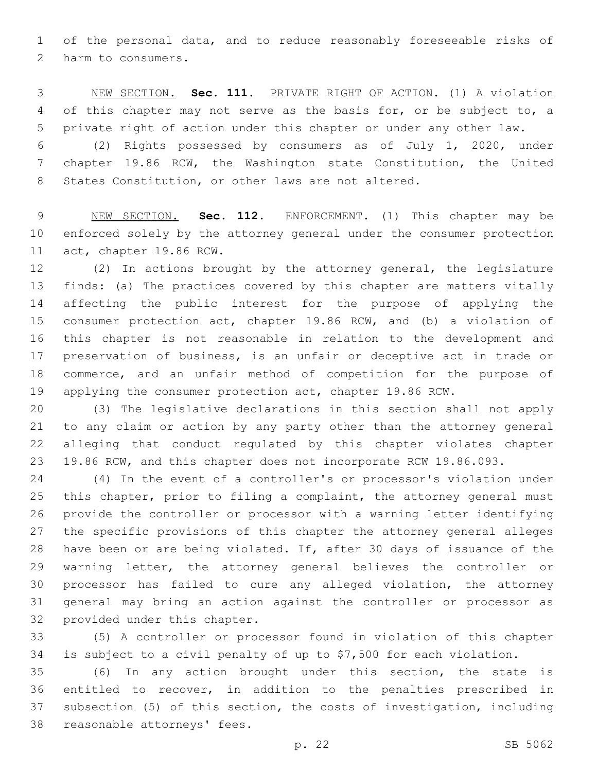of the personal data, and to reduce reasonably foreseeable risks of 2 harm to consumers.

 NEW SECTION. **Sec. 111.** PRIVATE RIGHT OF ACTION. (1) A violation of this chapter may not serve as the basis for, or be subject to, a private right of action under this chapter or under any other law.

 (2) Rights possessed by consumers as of July 1, 2020, under chapter 19.86 RCW, the Washington state Constitution, the United States Constitution, or other laws are not altered.

 NEW SECTION. **Sec. 112.** ENFORCEMENT. (1) This chapter may be enforced solely by the attorney general under the consumer protection act, chapter 19.86 RCW.

 (2) In actions brought by the attorney general, the legislature finds: (a) The practices covered by this chapter are matters vitally affecting the public interest for the purpose of applying the consumer protection act, chapter 19.86 RCW, and (b) a violation of this chapter is not reasonable in relation to the development and preservation of business, is an unfair or deceptive act in trade or commerce, and an unfair method of competition for the purpose of applying the consumer protection act, chapter 19.86 RCW.

 (3) The legislative declarations in this section shall not apply to any claim or action by any party other than the attorney general alleging that conduct regulated by this chapter violates chapter 19.86 RCW, and this chapter does not incorporate RCW 19.86.093.

 (4) In the event of a controller's or processor's violation under this chapter, prior to filing a complaint, the attorney general must provide the controller or processor with a warning letter identifying the specific provisions of this chapter the attorney general alleges have been or are being violated. If, after 30 days of issuance of the warning letter, the attorney general believes the controller or processor has failed to cure any alleged violation, the attorney general may bring an action against the controller or processor as 32 provided under this chapter.

 (5) A controller or processor found in violation of this chapter is subject to a civil penalty of up to \$7,500 for each violation.

 (6) In any action brought under this section, the state is entitled to recover, in addition to the penalties prescribed in subsection (5) of this section, the costs of investigation, including 38 reasonable attorneys' fees.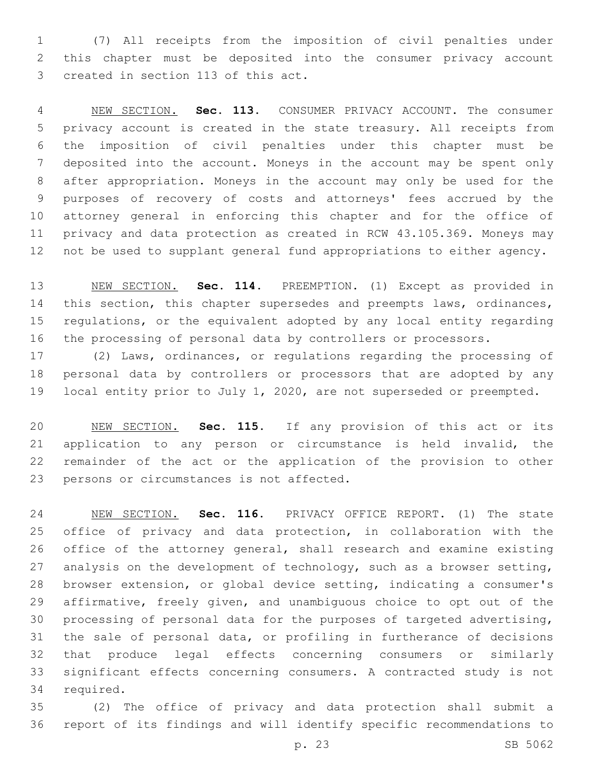(7) All receipts from the imposition of civil penalties under this chapter must be deposited into the consumer privacy account 3 created in section 113 of this act.

 NEW SECTION. **Sec. 113.** CONSUMER PRIVACY ACCOUNT. The consumer privacy account is created in the state treasury. All receipts from the imposition of civil penalties under this chapter must be deposited into the account. Moneys in the account may be spent only after appropriation. Moneys in the account may only be used for the purposes of recovery of costs and attorneys' fees accrued by the attorney general in enforcing this chapter and for the office of privacy and data protection as created in RCW 43.105.369. Moneys may not be used to supplant general fund appropriations to either agency.

 NEW SECTION. **Sec. 114.** PREEMPTION. (1) Except as provided in 14 this section, this chapter supersedes and preempts laws, ordinances, regulations, or the equivalent adopted by any local entity regarding the processing of personal data by controllers or processors.

 (2) Laws, ordinances, or regulations regarding the processing of personal data by controllers or processors that are adopted by any local entity prior to July 1, 2020, are not superseded or preempted.

 NEW SECTION. **Sec. 115.** If any provision of this act or its application to any person or circumstance is held invalid, the remainder of the act or the application of the provision to other persons or circumstances is not affected.

 NEW SECTION. **Sec. 116.** PRIVACY OFFICE REPORT. (1) The state office of privacy and data protection, in collaboration with the office of the attorney general, shall research and examine existing 27 analysis on the development of technology, such as a browser setting, browser extension, or global device setting, indicating a consumer's affirmative, freely given, and unambiguous choice to opt out of the processing of personal data for the purposes of targeted advertising, the sale of personal data, or profiling in furtherance of decisions that produce legal effects concerning consumers or similarly significant effects concerning consumers. A contracted study is not required.

 (2) The office of privacy and data protection shall submit a report of its findings and will identify specific recommendations to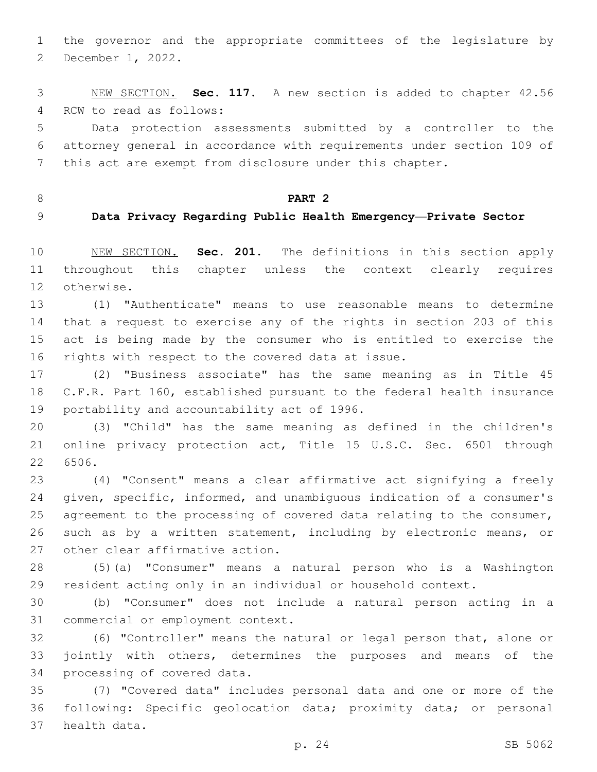the governor and the appropriate committees of the legislature by 2 December 1, 2022.

 NEW SECTION. **Sec. 117.** A new section is added to chapter 42.56 4 RCW to read as follows:

 Data protection assessments submitted by a controller to the attorney general in accordance with requirements under section 109 of this act are exempt from disclosure under this chapter.

## **PART 2**

## **Data Privacy Regarding Public Health Emergency—Private Sector**

 NEW SECTION. **Sec. 201.** The definitions in this section apply throughout this chapter unless the context clearly requires otherwise.

 (1) "Authenticate" means to use reasonable means to determine that a request to exercise any of the rights in section 203 of this act is being made by the consumer who is entitled to exercise the 16 rights with respect to the covered data at issue.

 (2) "Business associate" has the same meaning as in Title 45 C.F.R. Part 160, established pursuant to the federal health insurance 19 portability and accountability act of 1996.

 (3) "Child" has the same meaning as defined in the children's online privacy protection act, Title 15 U.S.C. Sec. 6501 through 22 6506.

 (4) "Consent" means a clear affirmative act signifying a freely given, specific, informed, and unambiguous indication of a consumer's 25 agreement to the processing of covered data relating to the consumer, such as by a written statement, including by electronic means, or 27 other clear affirmative action.

 (5)(a) "Consumer" means a natural person who is a Washington resident acting only in an individual or household context.

 (b) "Consumer" does not include a natural person acting in a 31 commercial or employment context.

 (6) "Controller" means the natural or legal person that, alone or jointly with others, determines the purposes and means of the 34 processing of covered data.

 (7) "Covered data" includes personal data and one or more of the following: Specific geolocation data; proximity data; or personal 37 health data.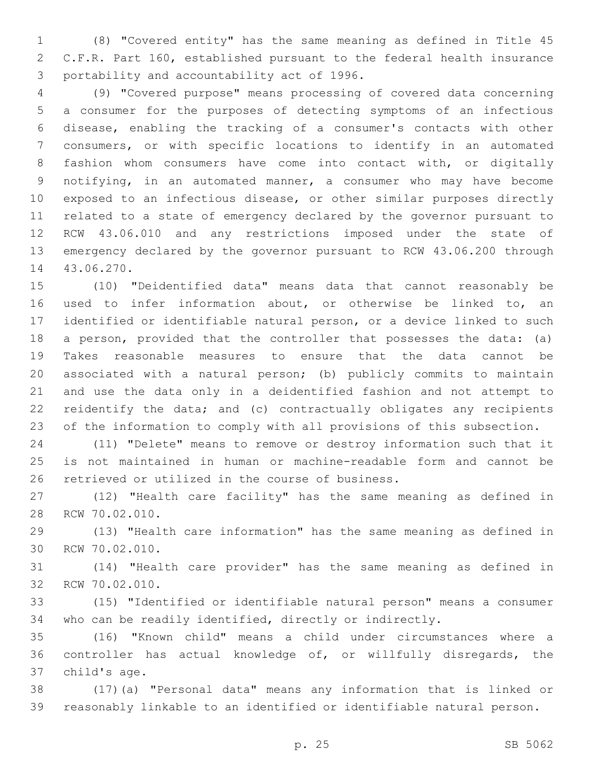(8) "Covered entity" has the same meaning as defined in Title 45 C.F.R. Part 160, established pursuant to the federal health insurance 3 portability and accountability act of 1996.

 (9) "Covered purpose" means processing of covered data concerning a consumer for the purposes of detecting symptoms of an infectious disease, enabling the tracking of a consumer's contacts with other consumers, or with specific locations to identify in an automated fashion whom consumers have come into contact with, or digitally notifying, in an automated manner, a consumer who may have become exposed to an infectious disease, or other similar purposes directly related to a state of emergency declared by the governor pursuant to RCW 43.06.010 and any restrictions imposed under the state of emergency declared by the governor pursuant to RCW 43.06.200 through 14 43.06.270.

 (10) "Deidentified data" means data that cannot reasonably be used to infer information about, or otherwise be linked to, an identified or identifiable natural person, or a device linked to such a person, provided that the controller that possesses the data: (a) Takes reasonable measures to ensure that the data cannot be associated with a natural person; (b) publicly commits to maintain and use the data only in a deidentified fashion and not attempt to reidentify the data; and (c) contractually obligates any recipients of the information to comply with all provisions of this subsection.

 (11) "Delete" means to remove or destroy information such that it is not maintained in human or machine-readable form and cannot be 26 retrieved or utilized in the course of business.

 (12) "Health care facility" has the same meaning as defined in 28 RCW 70.02.010.

 (13) "Health care information" has the same meaning as defined in 30 RCW 70.02.010.

 (14) "Health care provider" has the same meaning as defined in 32 RCW 70.02.010.

 (15) "Identified or identifiable natural person" means a consumer who can be readily identified, directly or indirectly.

 (16) "Known child" means a child under circumstances where a controller has actual knowledge of, or willfully disregards, the 37 child's age.

 (17)(a) "Personal data" means any information that is linked or reasonably linkable to an identified or identifiable natural person.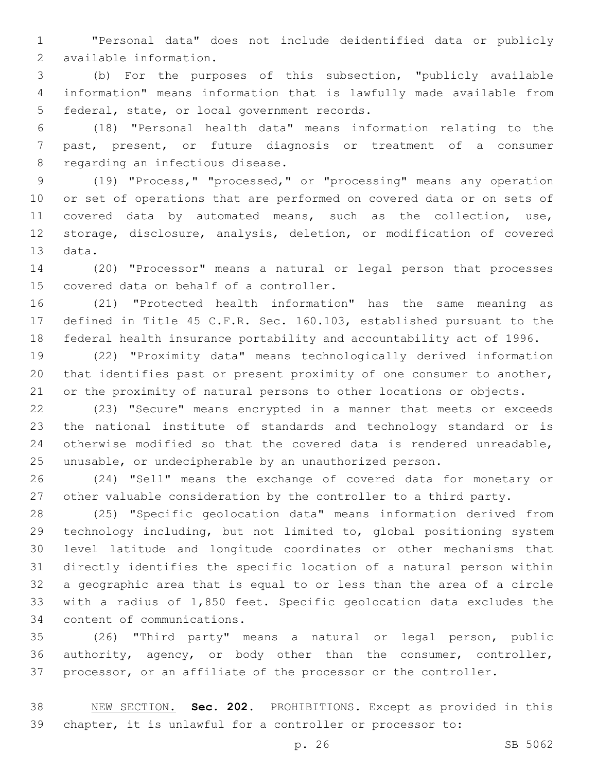"Personal data" does not include deidentified data or publicly available information.2

 (b) For the purposes of this subsection, "publicly available information" means information that is lawfully made available from 5 federal, state, or local government records.

 (18) "Personal health data" means information relating to the past, present, or future diagnosis or treatment of a consumer 8 regarding an infectious disease.

 (19) "Process," "processed," or "processing" means any operation or set of operations that are performed on covered data or on sets of covered data by automated means, such as the collection, use, storage, disclosure, analysis, deletion, or modification of covered 13 data.

 (20) "Processor" means a natural or legal person that processes 15 covered data on behalf of a controller.

 (21) "Protected health information" has the same meaning as defined in Title 45 C.F.R. Sec. 160.103, established pursuant to the federal health insurance portability and accountability act of 1996.

 (22) "Proximity data" means technologically derived information that identifies past or present proximity of one consumer to another, or the proximity of natural persons to other locations or objects.

 (23) "Secure" means encrypted in a manner that meets or exceeds the national institute of standards and technology standard or is otherwise modified so that the covered data is rendered unreadable, unusable, or undecipherable by an unauthorized person.

 (24) "Sell" means the exchange of covered data for monetary or other valuable consideration by the controller to a third party.

 (25) "Specific geolocation data" means information derived from technology including, but not limited to, global positioning system level latitude and longitude coordinates or other mechanisms that directly identifies the specific location of a natural person within a geographic area that is equal to or less than the area of a circle with a radius of 1,850 feet. Specific geolocation data excludes the 34 content of communications.

 (26) "Third party" means a natural or legal person, public authority, agency, or body other than the consumer, controller, processor, or an affiliate of the processor or the controller.

 NEW SECTION. **Sec. 202.** PROHIBITIONS. Except as provided in this chapter, it is unlawful for a controller or processor to: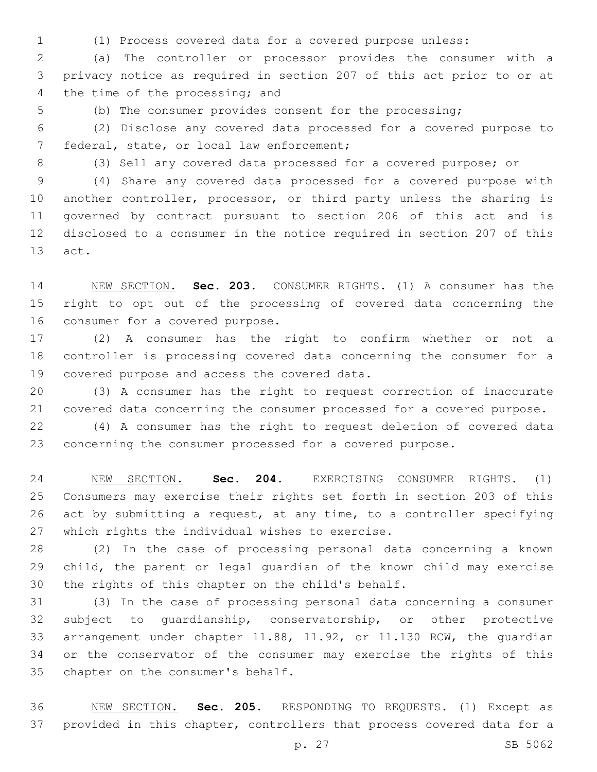(1) Process covered data for a covered purpose unless:

 (a) The controller or processor provides the consumer with a privacy notice as required in section 207 of this act prior to or at 4 the time of the processing; and

(b) The consumer provides consent for the processing;

 (2) Disclose any covered data processed for a covered purpose to 7 federal, state, or local law enforcement;

(3) Sell any covered data processed for a covered purpose; or

 (4) Share any covered data processed for a covered purpose with another controller, processor, or third party unless the sharing is governed by contract pursuant to section 206 of this act and is disclosed to a consumer in the notice required in section 207 of this 13 act.

 NEW SECTION. **Sec. 203.** CONSUMER RIGHTS. (1) A consumer has the right to opt out of the processing of covered data concerning the consumer for a covered purpose.

 (2) A consumer has the right to confirm whether or not a controller is processing covered data concerning the consumer for a 19 covered purpose and access the covered data.

 (3) A consumer has the right to request correction of inaccurate covered data concerning the consumer processed for a covered purpose.

 (4) A consumer has the right to request deletion of covered data concerning the consumer processed for a covered purpose.

 NEW SECTION. **Sec. 204.** EXERCISING CONSUMER RIGHTS. (1) Consumers may exercise their rights set forth in section 203 of this act by submitting a request, at any time, to a controller specifying which rights the individual wishes to exercise.

 (2) In the case of processing personal data concerning a known child, the parent or legal guardian of the known child may exercise 30 the rights of this chapter on the child's behalf.

 (3) In the case of processing personal data concerning a consumer subject to guardianship, conservatorship, or other protective arrangement under chapter 11.88, 11.92, or 11.130 RCW, the guardian or the conservator of the consumer may exercise the rights of this 35 chapter on the consumer's behalf.

 NEW SECTION. **Sec. 205.** RESPONDING TO REQUESTS. (1) Except as provided in this chapter, controllers that process covered data for a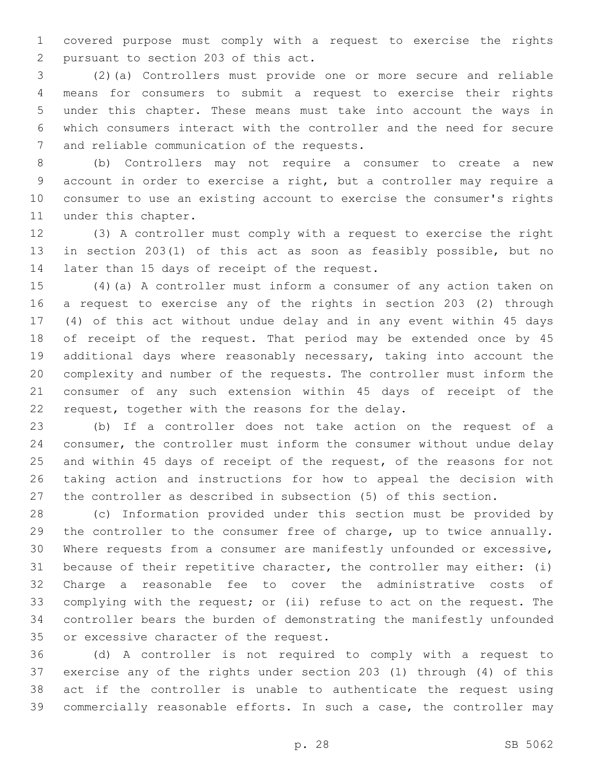covered purpose must comply with a request to exercise the rights 2 pursuant to section 203 of this act.

 (2)(a) Controllers must provide one or more secure and reliable means for consumers to submit a request to exercise their rights under this chapter. These means must take into account the ways in which consumers interact with the controller and the need for secure 7 and reliable communication of the requests.

 (b) Controllers may not require a consumer to create a new account in order to exercise a right, but a controller may require a consumer to use an existing account to exercise the consumer's rights 11 under this chapter.

 (3) A controller must comply with a request to exercise the right in section 203(1) of this act as soon as feasibly possible, but no 14 later than 15 days of receipt of the request.

 (4)(a) A controller must inform a consumer of any action taken on a request to exercise any of the rights in section 203 (2) through (4) of this act without undue delay and in any event within 45 days of receipt of the request. That period may be extended once by 45 additional days where reasonably necessary, taking into account the complexity and number of the requests. The controller must inform the consumer of any such extension within 45 days of receipt of the 22 request, together with the reasons for the delay.

 (b) If a controller does not take action on the request of a consumer, the controller must inform the consumer without undue delay and within 45 days of receipt of the request, of the reasons for not taking action and instructions for how to appeal the decision with the controller as described in subsection (5) of this section.

 (c) Information provided under this section must be provided by the controller to the consumer free of charge, up to twice annually. Where requests from a consumer are manifestly unfounded or excessive, because of their repetitive character, the controller may either: (i) Charge a reasonable fee to cover the administrative costs of complying with the request; or (ii) refuse to act on the request. The controller bears the burden of demonstrating the manifestly unfounded 35 or excessive character of the request.

 (d) A controller is not required to comply with a request to exercise any of the rights under section 203 (1) through (4) of this act if the controller is unable to authenticate the request using commercially reasonable efforts. In such a case, the controller may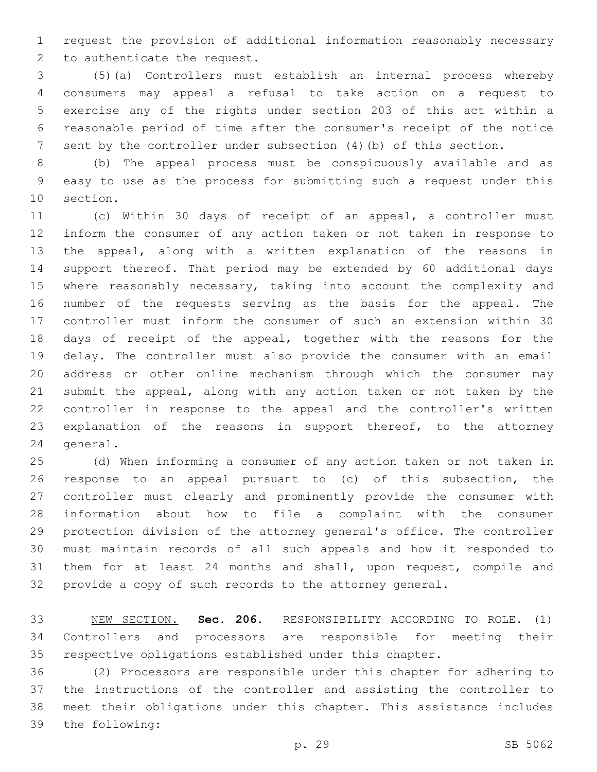request the provision of additional information reasonably necessary 2 to authenticate the request.

 (5)(a) Controllers must establish an internal process whereby consumers may appeal a refusal to take action on a request to exercise any of the rights under section 203 of this act within a reasonable period of time after the consumer's receipt of the notice sent by the controller under subsection (4)(b) of this section.

 (b) The appeal process must be conspicuously available and as easy to use as the process for submitting such a request under this 10 section.

 (c) Within 30 days of receipt of an appeal, a controller must inform the consumer of any action taken or not taken in response to the appeal, along with a written explanation of the reasons in support thereof. That period may be extended by 60 additional days 15 where reasonably necessary, taking into account the complexity and number of the requests serving as the basis for the appeal. The controller must inform the consumer of such an extension within 30 days of receipt of the appeal, together with the reasons for the delay. The controller must also provide the consumer with an email address or other online mechanism through which the consumer may submit the appeal, along with any action taken or not taken by the controller in response to the appeal and the controller's written explanation of the reasons in support thereof, to the attorney 24 general.

 (d) When informing a consumer of any action taken or not taken in response to an appeal pursuant to (c) of this subsection, the controller must clearly and prominently provide the consumer with information about how to file a complaint with the consumer protection division of the attorney general's office. The controller must maintain records of all such appeals and how it responded to them for at least 24 months and shall, upon request, compile and provide a copy of such records to the attorney general.

 NEW SECTION. **Sec. 206.** RESPONSIBILITY ACCORDING TO ROLE. (1) Controllers and processors are responsible for meeting their respective obligations established under this chapter.

 (2) Processors are responsible under this chapter for adhering to the instructions of the controller and assisting the controller to meet their obligations under this chapter. This assistance includes 39 the following: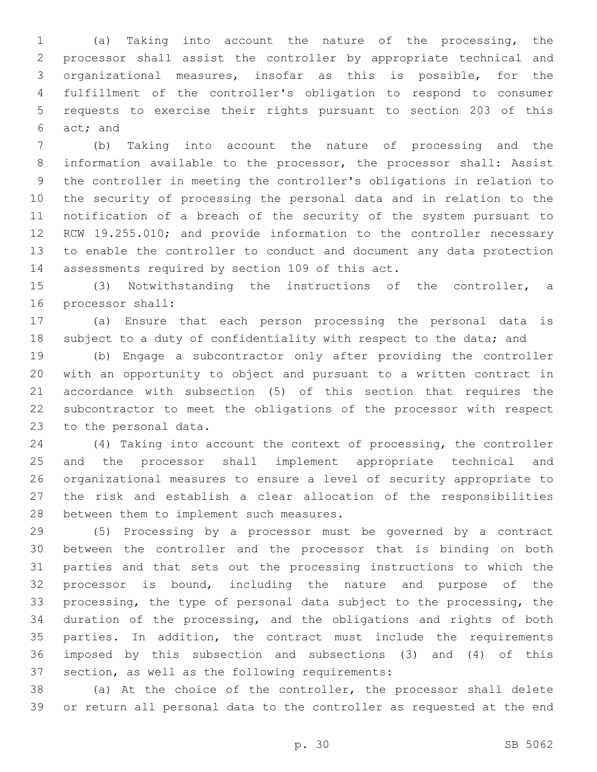(a) Taking into account the nature of the processing, the processor shall assist the controller by appropriate technical and organizational measures, insofar as this is possible, for the fulfillment of the controller's obligation to respond to consumer requests to exercise their rights pursuant to section 203 of this 6 act; and

 (b) Taking into account the nature of processing and the information available to the processor, the processor shall: Assist the controller in meeting the controller's obligations in relation to the security of processing the personal data and in relation to the notification of a breach of the security of the system pursuant to RCW 19.255.010; and provide information to the controller necessary to enable the controller to conduct and document any data protection 14 assessments required by section 109 of this act.

 (3) Notwithstanding the instructions of the controller, a 16 processor shall:

 (a) Ensure that each person processing the personal data is 18 subject to a duty of confidentiality with respect to the data; and

 (b) Engage a subcontractor only after providing the controller with an opportunity to object and pursuant to a written contract in accordance with subsection (5) of this section that requires the subcontractor to meet the obligations of the processor with respect 23 to the personal data.

 (4) Taking into account the context of processing, the controller and the processor shall implement appropriate technical and organizational measures to ensure a level of security appropriate to the risk and establish a clear allocation of the responsibilities 28 between them to implement such measures.

 (5) Processing by a processor must be governed by a contract between the controller and the processor that is binding on both parties and that sets out the processing instructions to which the processor is bound, including the nature and purpose of the processing, the type of personal data subject to the processing, the duration of the processing, and the obligations and rights of both parties. In addition, the contract must include the requirements imposed by this subsection and subsections (3) and (4) of this 37 section, as well as the following requirements:

 (a) At the choice of the controller, the processor shall delete or return all personal data to the controller as requested at the end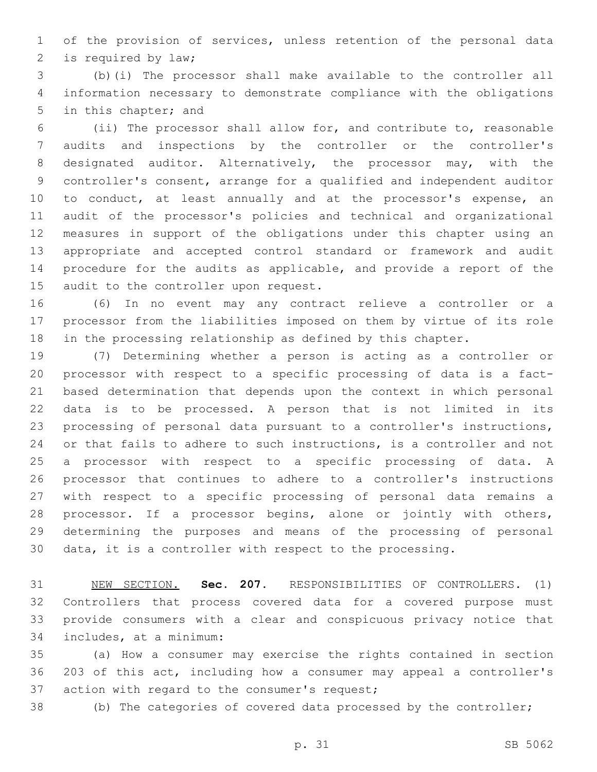of the provision of services, unless retention of the personal data 2 is required by law;

 (b)(i) The processor shall make available to the controller all information necessary to demonstrate compliance with the obligations 5 in this chapter; and

 (ii) The processor shall allow for, and contribute to, reasonable audits and inspections by the controller or the controller's designated auditor. Alternatively, the processor may, with the controller's consent, arrange for a qualified and independent auditor 10 to conduct, at least annually and at the processor's expense, an audit of the processor's policies and technical and organizational measures in support of the obligations under this chapter using an appropriate and accepted control standard or framework and audit procedure for the audits as applicable, and provide a report of the 15 audit to the controller upon request.

 (6) In no event may any contract relieve a controller or a processor from the liabilities imposed on them by virtue of its role in the processing relationship as defined by this chapter.

 (7) Determining whether a person is acting as a controller or processor with respect to a specific processing of data is a fact- based determination that depends upon the context in which personal data is to be processed. A person that is not limited in its processing of personal data pursuant to a controller's instructions, or that fails to adhere to such instructions, is a controller and not a processor with respect to a specific processing of data. A processor that continues to adhere to a controller's instructions with respect to a specific processing of personal data remains a processor. If a processor begins, alone or jointly with others, determining the purposes and means of the processing of personal data, it is a controller with respect to the processing.

 NEW SECTION. **Sec. 207.** RESPONSIBILITIES OF CONTROLLERS. (1) Controllers that process covered data for a covered purpose must provide consumers with a clear and conspicuous privacy notice that includes, at a minimum:

 (a) How a consumer may exercise the rights contained in section 203 of this act, including how a consumer may appeal a controller's 37 action with regard to the consumer's request;

(b) The categories of covered data processed by the controller;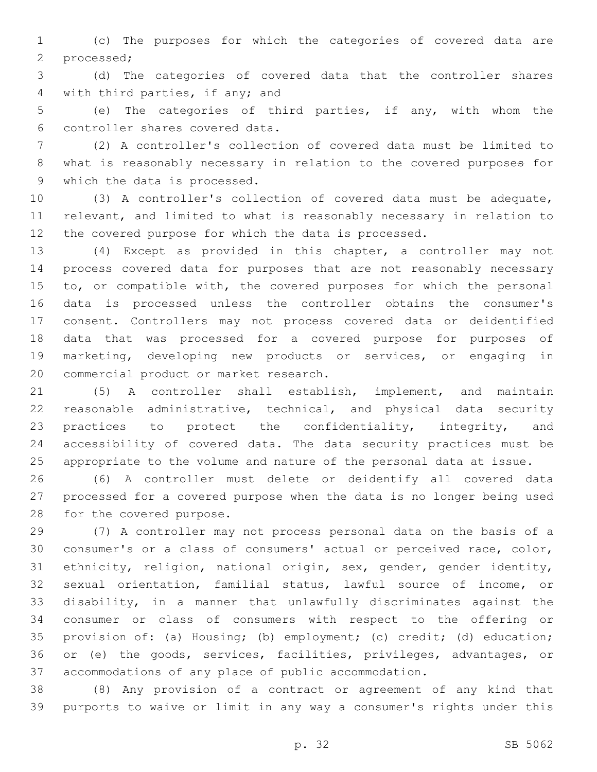(c) The purposes for which the categories of covered data are 2 processed;

 (d) The categories of covered data that the controller shares 4 with third parties, if any; and

 (e) The categories of third parties, if any, with whom the controller shares covered data.6

 (2) A controller's collection of covered data must be limited to what is reasonably necessary in relation to the covered purposes for 9 which the data is processed.

 (3) A controller's collection of covered data must be adequate, relevant, and limited to what is reasonably necessary in relation to the covered purpose for which the data is processed.

 (4) Except as provided in this chapter, a controller may not process covered data for purposes that are not reasonably necessary to, or compatible with, the covered purposes for which the personal data is processed unless the controller obtains the consumer's consent. Controllers may not process covered data or deidentified data that was processed for a covered purpose for purposes of marketing, developing new products or services, or engaging in 20 commercial product or market research.

 (5) A controller shall establish, implement, and maintain reasonable administrative, technical, and physical data security 23 practices to protect the confidentiality, integrity, and accessibility of covered data. The data security practices must be appropriate to the volume and nature of the personal data at issue.

 (6) A controller must delete or deidentify all covered data processed for a covered purpose when the data is no longer being used 28 for the covered purpose.

 (7) A controller may not process personal data on the basis of a consumer's or a class of consumers' actual or perceived race, color, ethnicity, religion, national origin, sex, gender, gender identity, sexual orientation, familial status, lawful source of income, or disability, in a manner that unlawfully discriminates against the consumer or class of consumers with respect to the offering or provision of: (a) Housing; (b) employment; (c) credit; (d) education; or (e) the goods, services, facilities, privileges, advantages, or accommodations of any place of public accommodation.

 (8) Any provision of a contract or agreement of any kind that purports to waive or limit in any way a consumer's rights under this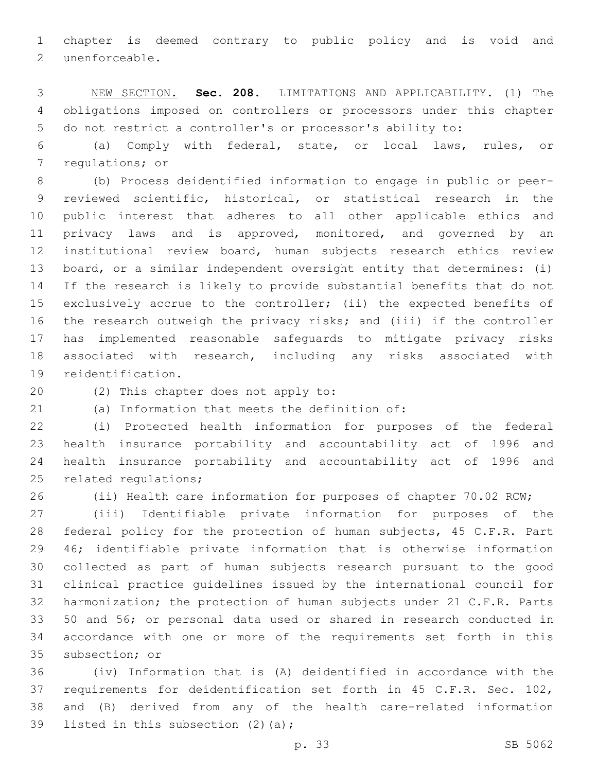chapter is deemed contrary to public policy and is void and 2 unenforceable.

 NEW SECTION. **Sec. 208.** LIMITATIONS AND APPLICABILITY. (1) The obligations imposed on controllers or processors under this chapter do not restrict a controller's or processor's ability to:

 (a) Comply with federal, state, or local laws, rules, or 7 regulations; or

 (b) Process deidentified information to engage in public or peer- reviewed scientific, historical, or statistical research in the public interest that adheres to all other applicable ethics and privacy laws and is approved, monitored, and governed by an institutional review board, human subjects research ethics review board, or a similar independent oversight entity that determines: (i) If the research is likely to provide substantial benefits that do not exclusively accrue to the controller; (ii) the expected benefits of the research outweigh the privacy risks; and (iii) if the controller has implemented reasonable safeguards to mitigate privacy risks associated with research, including any risks associated with 19 reidentification.

20 (2) This chapter does not apply to:

(a) Information that meets the definition of:21

 (i) Protected health information for purposes of the federal health insurance portability and accountability act of 1996 and health insurance portability and accountability act of 1996 and 25 related requlations;

(ii) Health care information for purposes of chapter 70.02 RCW;

 (iii) Identifiable private information for purposes of the federal policy for the protection of human subjects, 45 C.F.R. Part 46; identifiable private information that is otherwise information collected as part of human subjects research pursuant to the good clinical practice guidelines issued by the international council for harmonization; the protection of human subjects under 21 C.F.R. Parts 50 and 56; or personal data used or shared in research conducted in accordance with one or more of the requirements set forth in this 35 subsection; or

 (iv) Information that is (A) deidentified in accordance with the requirements for deidentification set forth in 45 C.F.R. Sec. 102, and (B) derived from any of the health care-related information 39 listed in this subsection  $(2)(a)$ ;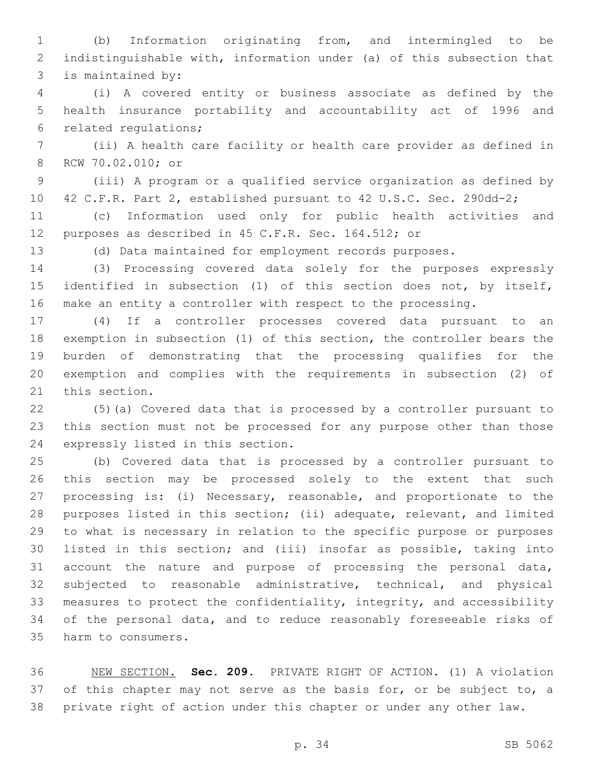(b) Information originating from, and intermingled to be indistinguishable with, information under (a) of this subsection that 3 is maintained by:

 (i) A covered entity or business associate as defined by the health insurance portability and accountability act of 1996 and 6 related regulations;

 (ii) A health care facility or health care provider as defined in 8 RCW 70.02.010; or

 (iii) A program or a qualified service organization as defined by 42 C.F.R. Part 2, established pursuant to 42 U.S.C. Sec. 290dd-2;

 (c) Information used only for public health activities and purposes as described in 45 C.F.R. Sec. 164.512; or

(d) Data maintained for employment records purposes.

 (3) Processing covered data solely for the purposes expressly identified in subsection (1) of this section does not, by itself, make an entity a controller with respect to the processing.

 (4) If a controller processes covered data pursuant to an exemption in subsection (1) of this section, the controller bears the burden of demonstrating that the processing qualifies for the exemption and complies with the requirements in subsection (2) of 21 this section.

 (5)(a) Covered data that is processed by a controller pursuant to this section must not be processed for any purpose other than those 24 expressly listed in this section.

 (b) Covered data that is processed by a controller pursuant to this section may be processed solely to the extent that such processing is: (i) Necessary, reasonable, and proportionate to the purposes listed in this section; (ii) adequate, relevant, and limited to what is necessary in relation to the specific purpose or purposes listed in this section; and (iii) insofar as possible, taking into account the nature and purpose of processing the personal data, subjected to reasonable administrative, technical, and physical measures to protect the confidentiality, integrity, and accessibility of the personal data, and to reduce reasonably foreseeable risks of 35 harm to consumers.

 NEW SECTION. **Sec. 209.** PRIVATE RIGHT OF ACTION. (1) A violation 37 of this chapter may not serve as the basis for, or be subject to, a private right of action under this chapter or under any other law.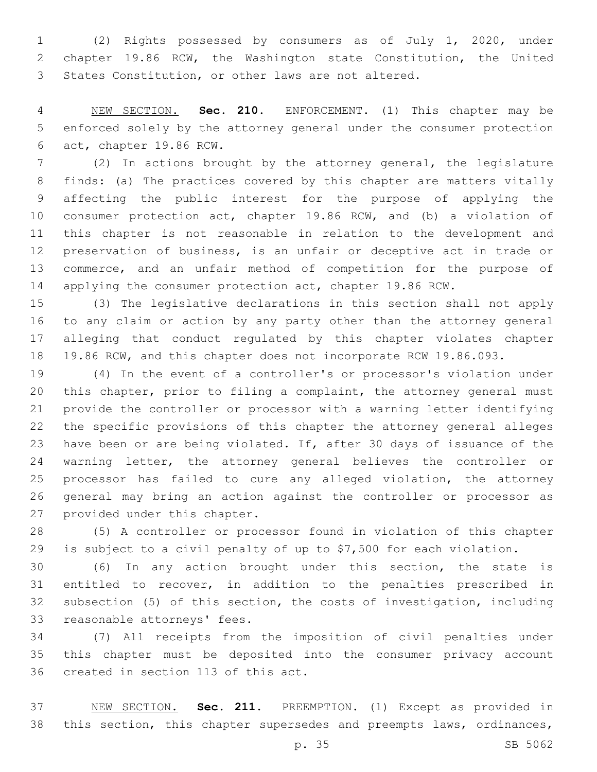(2) Rights possessed by consumers as of July 1, 2020, under chapter 19.86 RCW, the Washington state Constitution, the United States Constitution, or other laws are not altered.

 NEW SECTION. **Sec. 210.** ENFORCEMENT. (1) This chapter may be enforced solely by the attorney general under the consumer protection act, chapter 19.86 RCW.

 (2) In actions brought by the attorney general, the legislature finds: (a) The practices covered by this chapter are matters vitally affecting the public interest for the purpose of applying the consumer protection act, chapter 19.86 RCW, and (b) a violation of this chapter is not reasonable in relation to the development and preservation of business, is an unfair or deceptive act in trade or commerce, and an unfair method of competition for the purpose of applying the consumer protection act, chapter 19.86 RCW.

 (3) The legislative declarations in this section shall not apply to any claim or action by any party other than the attorney general alleging that conduct regulated by this chapter violates chapter 19.86 RCW, and this chapter does not incorporate RCW 19.86.093.

 (4) In the event of a controller's or processor's violation under this chapter, prior to filing a complaint, the attorney general must provide the controller or processor with a warning letter identifying the specific provisions of this chapter the attorney general alleges have been or are being violated. If, after 30 days of issuance of the 24 warning letter, the attorney general believes the controller or processor has failed to cure any alleged violation, the attorney general may bring an action against the controller or processor as 27 provided under this chapter.

 (5) A controller or processor found in violation of this chapter is subject to a civil penalty of up to \$7,500 for each violation.

 (6) In any action brought under this section, the state is entitled to recover, in addition to the penalties prescribed in subsection (5) of this section, the costs of investigation, including 33 reasonable attorneys' fees.

 (7) All receipts from the imposition of civil penalties under this chapter must be deposited into the consumer privacy account 36 created in section 113 of this act.

 NEW SECTION. **Sec. 211.** PREEMPTION. (1) Except as provided in this section, this chapter supersedes and preempts laws, ordinances,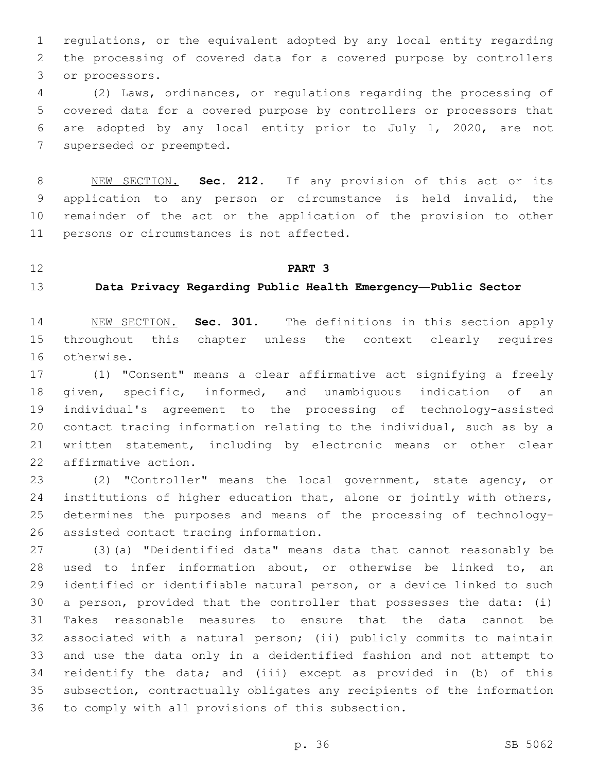regulations, or the equivalent adopted by any local entity regarding the processing of covered data for a covered purpose by controllers 3 or processors.

 (2) Laws, ordinances, or regulations regarding the processing of covered data for a covered purpose by controllers or processors that are adopted by any local entity prior to July 1, 2020, are not 7 superseded or preempted.

 NEW SECTION. **Sec. 212.** If any provision of this act or its application to any person or circumstance is held invalid, the remainder of the act or the application of the provision to other persons or circumstances is not affected.

#### **PART 3**

**Data Privacy Regarding Public Health Emergency—Public Sector**

 NEW SECTION. **Sec. 301.** The definitions in this section apply throughout this chapter unless the context clearly requires otherwise.

 (1) "Consent" means a clear affirmative act signifying a freely given, specific, informed, and unambiguous indication of an individual's agreement to the processing of technology-assisted contact tracing information relating to the individual, such as by a written statement, including by electronic means or other clear 22 affirmative action.

 (2) "Controller" means the local government, state agency, or institutions of higher education that, alone or jointly with others, determines the purposes and means of the processing of technology-26 assisted contact tracing information.

 (3)(a) "Deidentified data" means data that cannot reasonably be used to infer information about, or otherwise be linked to, an identified or identifiable natural person, or a device linked to such a person, provided that the controller that possesses the data: (i) Takes reasonable measures to ensure that the data cannot be associated with a natural person; (ii) publicly commits to maintain and use the data only in a deidentified fashion and not attempt to reidentify the data; and (iii) except as provided in (b) of this subsection, contractually obligates any recipients of the information 36 to comply with all provisions of this subsection.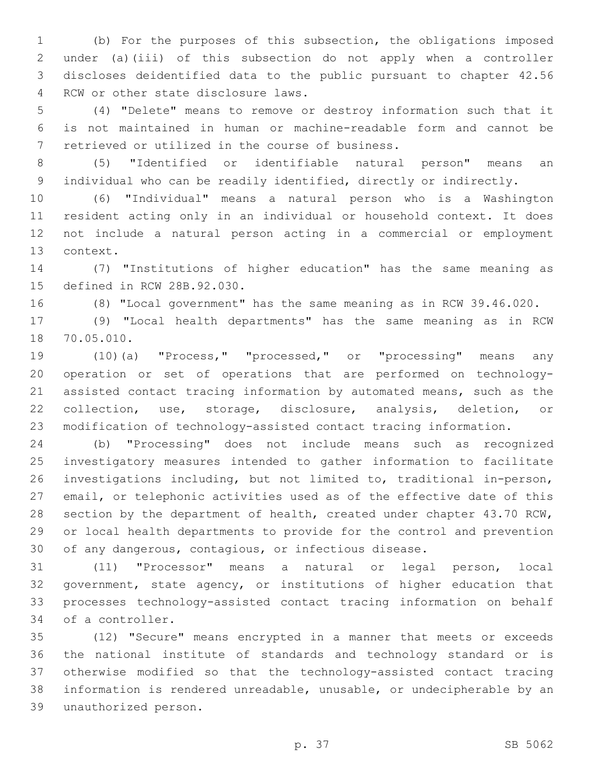(b) For the purposes of this subsection, the obligations imposed under (a)(iii) of this subsection do not apply when a controller discloses deidentified data to the public pursuant to chapter 42.56 4 RCW or other state disclosure laws.

 (4) "Delete" means to remove or destroy information such that it is not maintained in human or machine-readable form and cannot be 7 retrieved or utilized in the course of business.

 (5) "Identified or identifiable natural person" means an individual who can be readily identified, directly or indirectly.

 (6) "Individual" means a natural person who is a Washington resident acting only in an individual or household context. It does not include a natural person acting in a commercial or employment 13 context.

 (7) "Institutions of higher education" has the same meaning as 15 defined in RCW 28B.92.030.

(8) "Local government" has the same meaning as in RCW 39.46.020.

 (9) "Local health departments" has the same meaning as in RCW 18 70.05.010.

 (10)(a) "Process," "processed," or "processing" means any operation or set of operations that are performed on technology- assisted contact tracing information by automated means, such as the collection, use, storage, disclosure, analysis, deletion, or modification of technology-assisted contact tracing information.

 (b) "Processing" does not include means such as recognized investigatory measures intended to gather information to facilitate investigations including, but not limited to, traditional in-person, email, or telephonic activities used as of the effective date of this section by the department of health, created under chapter 43.70 RCW, or local health departments to provide for the control and prevention of any dangerous, contagious, or infectious disease.

 (11) "Processor" means a natural or legal person, local government, state agency, or institutions of higher education that processes technology-assisted contact tracing information on behalf 34 of a controller.

 (12) "Secure" means encrypted in a manner that meets or exceeds the national institute of standards and technology standard or is otherwise modified so that the technology-assisted contact tracing information is rendered unreadable, unusable, or undecipherable by an unauthorized person.39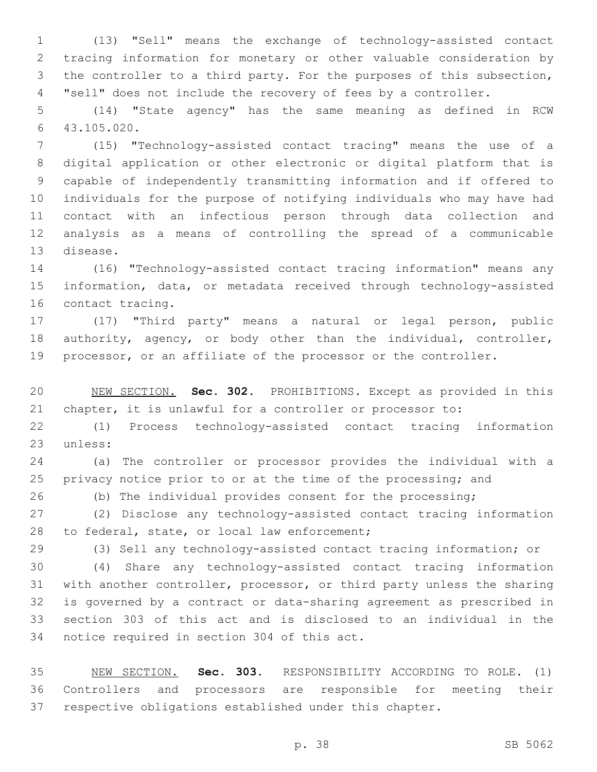(13) "Sell" means the exchange of technology-assisted contact tracing information for monetary or other valuable consideration by the controller to a third party. For the purposes of this subsection, "sell" does not include the recovery of fees by a controller.

 (14) "State agency" has the same meaning as defined in RCW 43.105.020.6

 (15) "Technology-assisted contact tracing" means the use of a digital application or other electronic or digital platform that is capable of independently transmitting information and if offered to individuals for the purpose of notifying individuals who may have had contact with an infectious person through data collection and analysis as a means of controlling the spread of a communicable 13 disease.

 (16) "Technology-assisted contact tracing information" means any information, data, or metadata received through technology-assisted 16 contact tracing.

 (17) "Third party" means a natural or legal person, public 18 authority, agency, or body other than the individual, controller, processor, or an affiliate of the processor or the controller.

 NEW SECTION. **Sec. 302.** PROHIBITIONS. Except as provided in this chapter, it is unlawful for a controller or processor to:

 (1) Process technology-assisted contact tracing information 23 unless:

 (a) The controller or processor provides the individual with a 25 privacy notice prior to or at the time of the processing; and

(b) The individual provides consent for the processing;

 (2) Disclose any technology-assisted contact tracing information 28 to federal, state, or local law enforcement;

(3) Sell any technology-assisted contact tracing information; or

 (4) Share any technology-assisted contact tracing information with another controller, processor, or third party unless the sharing is governed by a contract or data-sharing agreement as prescribed in section 303 of this act and is disclosed to an individual in the 34 notice required in section 304 of this act.

 NEW SECTION. **Sec. 303.** RESPONSIBILITY ACCORDING TO ROLE. (1) Controllers and processors are responsible for meeting their respective obligations established under this chapter.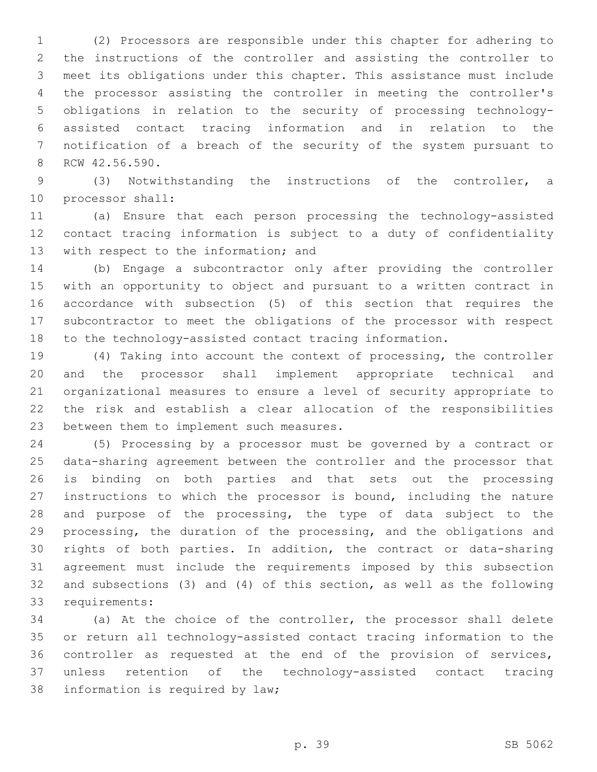(2) Processors are responsible under this chapter for adhering to the instructions of the controller and assisting the controller to meet its obligations under this chapter. This assistance must include the processor assisting the controller in meeting the controller's obligations in relation to the security of processing technology- assisted contact tracing information and in relation to the notification of a breach of the security of the system pursuant to 8 RCW 42.56.590.

 (3) Notwithstanding the instructions of the controller, a 10 processor shall:

 (a) Ensure that each person processing the technology-assisted contact tracing information is subject to a duty of confidentiality 13 with respect to the information; and

 (b) Engage a subcontractor only after providing the controller with an opportunity to object and pursuant to a written contract in accordance with subsection (5) of this section that requires the subcontractor to meet the obligations of the processor with respect to the technology-assisted contact tracing information.

 (4) Taking into account the context of processing, the controller and the processor shall implement appropriate technical and organizational measures to ensure a level of security appropriate to the risk and establish a clear allocation of the responsibilities 23 between them to implement such measures.

 (5) Processing by a processor must be governed by a contract or data-sharing agreement between the controller and the processor that is binding on both parties and that sets out the processing instructions to which the processor is bound, including the nature and purpose of the processing, the type of data subject to the processing, the duration of the processing, and the obligations and rights of both parties. In addition, the contract or data-sharing agreement must include the requirements imposed by this subsection and subsections (3) and (4) of this section, as well as the following 33 requirements:

 (a) At the choice of the controller, the processor shall delete or return all technology-assisted contact tracing information to the controller as requested at the end of the provision of services, unless retention of the technology-assisted contact tracing 38 information is required by law;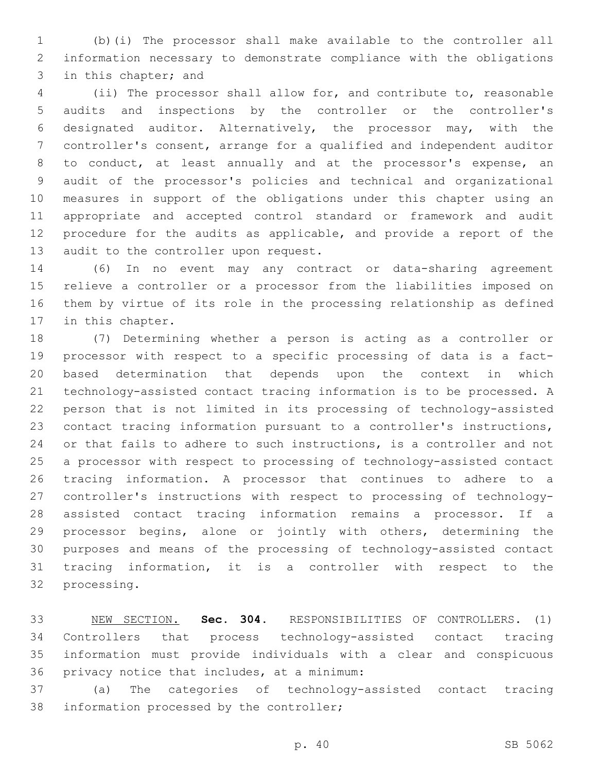(b)(i) The processor shall make available to the controller all information necessary to demonstrate compliance with the obligations 3 in this chapter; and

 (ii) The processor shall allow for, and contribute to, reasonable audits and inspections by the controller or the controller's designated auditor. Alternatively, the processor may, with the controller's consent, arrange for a qualified and independent auditor to conduct, at least annually and at the processor's expense, an audit of the processor's policies and technical and organizational measures in support of the obligations under this chapter using an appropriate and accepted control standard or framework and audit procedure for the audits as applicable, and provide a report of the 13 audit to the controller upon request.

 (6) In no event may any contract or data-sharing agreement relieve a controller or a processor from the liabilities imposed on them by virtue of its role in the processing relationship as defined 17 in this chapter.

 (7) Determining whether a person is acting as a controller or processor with respect to a specific processing of data is a fact- based determination that depends upon the context in which technology-assisted contact tracing information is to be processed. A person that is not limited in its processing of technology-assisted contact tracing information pursuant to a controller's instructions, or that fails to adhere to such instructions, is a controller and not a processor with respect to processing of technology-assisted contact tracing information. A processor that continues to adhere to a controller's instructions with respect to processing of technology- assisted contact tracing information remains a processor. If a processor begins, alone or jointly with others, determining the purposes and means of the processing of technology-assisted contact tracing information, it is a controller with respect to the 32 processing.

 NEW SECTION. **Sec. 304.** RESPONSIBILITIES OF CONTROLLERS. (1) Controllers that process technology-assisted contact tracing information must provide individuals with a clear and conspicuous privacy notice that includes, at a minimum:

 (a) The categories of technology-assisted contact tracing 38 information processed by the controller;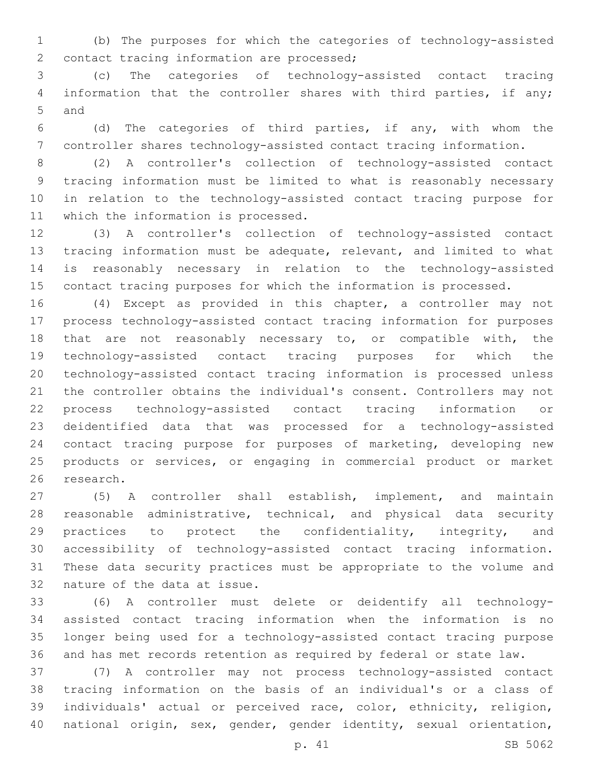(b) The purposes for which the categories of technology-assisted 2 contact tracing information are processed;

 (c) The categories of technology-assisted contact tracing information that the controller shares with third parties, if any; 5 and

 (d) The categories of third parties, if any, with whom the controller shares technology-assisted contact tracing information.

 (2) A controller's collection of technology-assisted contact tracing information must be limited to what is reasonably necessary in relation to the technology-assisted contact tracing purpose for 11 which the information is processed.

 (3) A controller's collection of technology-assisted contact tracing information must be adequate, relevant, and limited to what is reasonably necessary in relation to the technology-assisted contact tracing purposes for which the information is processed.

 (4) Except as provided in this chapter, a controller may not process technology-assisted contact tracing information for purposes that are not reasonably necessary to, or compatible with, the technology-assisted contact tracing purposes for which the technology-assisted contact tracing information is processed unless the controller obtains the individual's consent. Controllers may not process technology-assisted contact tracing information or deidentified data that was processed for a technology-assisted contact tracing purpose for purposes of marketing, developing new products or services, or engaging in commercial product or market research.

 (5) A controller shall establish, implement, and maintain reasonable administrative, technical, and physical data security practices to protect the confidentiality, integrity, and accessibility of technology-assisted contact tracing information. These data security practices must be appropriate to the volume and 32 nature of the data at issue.

 (6) A controller must delete or deidentify all technology- assisted contact tracing information when the information is no longer being used for a technology-assisted contact tracing purpose and has met records retention as required by federal or state law.

 (7) A controller may not process technology-assisted contact tracing information on the basis of an individual's or a class of individuals' actual or perceived race, color, ethnicity, religion, national origin, sex, gender, gender identity, sexual orientation,

p. 41 SB 5062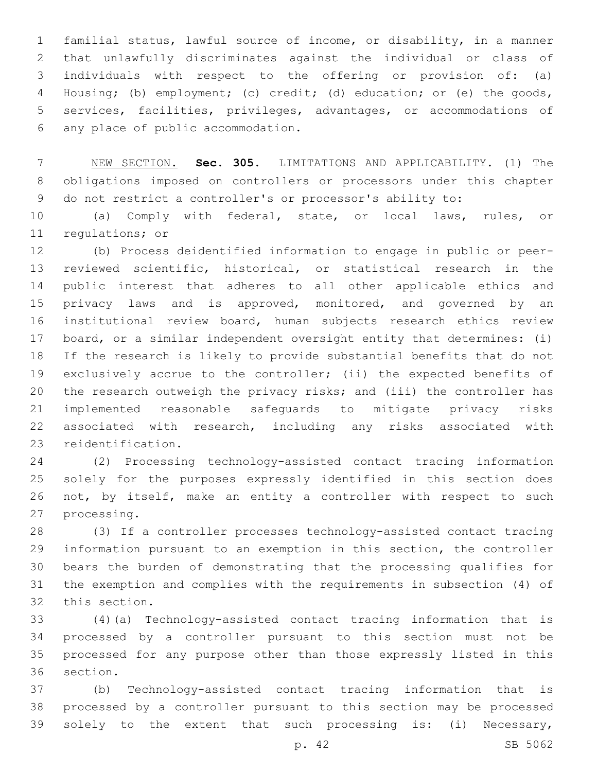familial status, lawful source of income, or disability, in a manner that unlawfully discriminates against the individual or class of individuals with respect to the offering or provision of: (a) Housing; (b) employment; (c) credit; (d) education; or (e) the goods, services, facilities, privileges, advantages, or accommodations of any place of public accommodation.6

 NEW SECTION. **Sec. 305.** LIMITATIONS AND APPLICABILITY. (1) The obligations imposed on controllers or processors under this chapter do not restrict a controller's or processor's ability to:

 (a) Comply with federal, state, or local laws, rules, or 11 regulations; or

 (b) Process deidentified information to engage in public or peer- reviewed scientific, historical, or statistical research in the public interest that adheres to all other applicable ethics and 15 privacy laws and is approved, monitored, and governed by an institutional review board, human subjects research ethics review board, or a similar independent oversight entity that determines: (i) If the research is likely to provide substantial benefits that do not exclusively accrue to the controller; (ii) the expected benefits of the research outweigh the privacy risks; and (iii) the controller has implemented reasonable safeguards to mitigate privacy risks associated with research, including any risks associated with 23 reidentification.

 (2) Processing technology-assisted contact tracing information solely for the purposes expressly identified in this section does not, by itself, make an entity a controller with respect to such 27 processing.

 (3) If a controller processes technology-assisted contact tracing information pursuant to an exemption in this section, the controller bears the burden of demonstrating that the processing qualifies for the exemption and complies with the requirements in subsection (4) of 32 this section.

 (4)(a) Technology-assisted contact tracing information that is processed by a controller pursuant to this section must not be processed for any purpose other than those expressly listed in this 36 section.

 (b) Technology-assisted contact tracing information that is processed by a controller pursuant to this section may be processed solely to the extent that such processing is: (i) Necessary,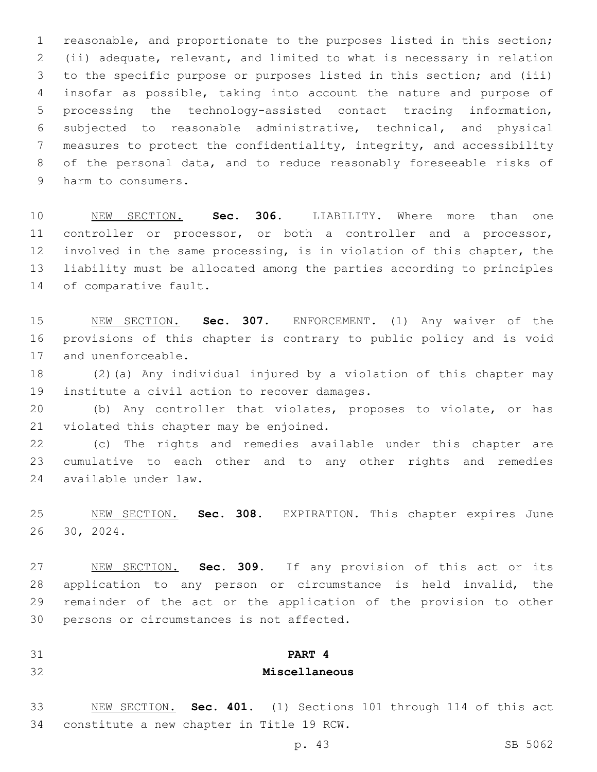reasonable, and proportionate to the purposes listed in this section; (ii) adequate, relevant, and limited to what is necessary in relation to the specific purpose or purposes listed in this section; and (iii) insofar as possible, taking into account the nature and purpose of processing the technology-assisted contact tracing information, subjected to reasonable administrative, technical, and physical measures to protect the confidentiality, integrity, and accessibility of the personal data, and to reduce reasonably foreseeable risks of 9 harm to consumers.

 NEW SECTION. **Sec. 306.** LIABILITY. Where more than one controller or processor, or both a controller and a processor, involved in the same processing, is in violation of this chapter, the liability must be allocated among the parties according to principles of comparative fault.

 NEW SECTION. **Sec. 307.** ENFORCEMENT. (1) Any waiver of the provisions of this chapter is contrary to public policy and is void and unenforceable.

 (2)(a) Any individual injured by a violation of this chapter may 19 institute a civil action to recover damages.

 (b) Any controller that violates, proposes to violate, or has 21 violated this chapter may be enjoined.

 (c) The rights and remedies available under this chapter are cumulative to each other and to any other rights and remedies available under law.24

 NEW SECTION. **Sec. 308.** EXPIRATION. This chapter expires June 30, 2024.

 NEW SECTION. **Sec. 309.** If any provision of this act or its application to any person or circumstance is held invalid, the remainder of the act or the application of the provision to other persons or circumstances is not affected.

**PART 4**

## **Miscellaneous**

 NEW SECTION. **Sec. 401.** (1) Sections 101 through 114 of this act constitute a new chapter in Title 19 RCW.